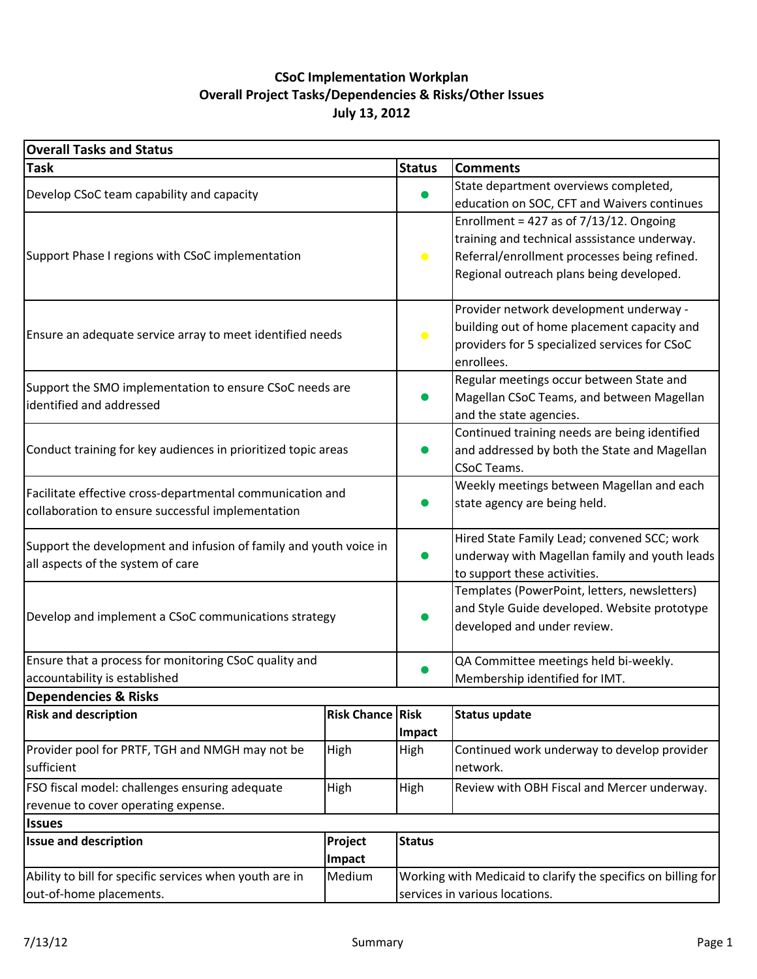## **July 13, 2012 CSoC Implementation Workplan Overall Project Tasks/Dependencies & Risks/Other Issues**

| <b>Overall Tasks and Status</b>                                                                        |                    |                                |                                                               |  |  |  |
|--------------------------------------------------------------------------------------------------------|--------------------|--------------------------------|---------------------------------------------------------------|--|--|--|
| <b>Task</b>                                                                                            |                    | <b>Status</b>                  | <b>Comments</b>                                               |  |  |  |
| Develop CSoC team capability and capacity                                                              |                    |                                | State department overviews completed,                         |  |  |  |
|                                                                                                        |                    |                                | education on SOC, CFT and Waivers continues                   |  |  |  |
|                                                                                                        |                    |                                | Enrollment = 427 as of $7/13/12$ . Ongoing                    |  |  |  |
|                                                                                                        |                    |                                | training and technical asssistance underway.                  |  |  |  |
| Support Phase I regions with CSoC implementation                                                       |                    | $\bullet$                      | Referral/enrollment processes being refined.                  |  |  |  |
|                                                                                                        |                    |                                | Regional outreach plans being developed.                      |  |  |  |
|                                                                                                        |                    |                                | Provider network development underway -                       |  |  |  |
|                                                                                                        |                    |                                | building out of home placement capacity and                   |  |  |  |
| Ensure an adequate service array to meet identified needs                                              |                    | $\bullet$                      | providers for 5 specialized services for CSoC                 |  |  |  |
|                                                                                                        |                    |                                | enrollees.                                                    |  |  |  |
|                                                                                                        |                    |                                | Regular meetings occur between State and                      |  |  |  |
| Support the SMO implementation to ensure CSoC needs are<br>identified and addressed                    |                    |                                | Magellan CSoC Teams, and between Magellan                     |  |  |  |
|                                                                                                        |                    |                                | and the state agencies.                                       |  |  |  |
|                                                                                                        |                    |                                | Continued training needs are being identified                 |  |  |  |
| Conduct training for key audiences in prioritized topic areas                                          |                    |                                | and addressed by both the State and Magellan                  |  |  |  |
|                                                                                                        |                    |                                | <b>CSoC Teams.</b>                                            |  |  |  |
| Facilitate effective cross-departmental communication and                                              |                    |                                | Weekly meetings between Magellan and each                     |  |  |  |
| collaboration to ensure successful implementation                                                      |                    |                                | state agency are being held.                                  |  |  |  |
|                                                                                                        |                    |                                | Hired State Family Lead; convened SCC; work                   |  |  |  |
| Support the development and infusion of family and youth voice in<br>all aspects of the system of care |                    |                                | underway with Magellan family and youth leads                 |  |  |  |
|                                                                                                        |                    |                                | to support these activities.                                  |  |  |  |
|                                                                                                        |                    |                                | Templates (PowerPoint, letters, newsletters)                  |  |  |  |
| Develop and implement a CSoC communications strategy                                                   |                    |                                | and Style Guide developed. Website prototype                  |  |  |  |
|                                                                                                        |                    |                                | developed and under review.                                   |  |  |  |
| Ensure that a process for monitoring CSoC quality and                                                  |                    |                                | QA Committee meetings held bi-weekly.                         |  |  |  |
| accountability is established                                                                          |                    |                                | Membership identified for IMT.                                |  |  |  |
| <b>Dependencies &amp; Risks</b>                                                                        |                    |                                |                                                               |  |  |  |
| <b>Risk and description</b>                                                                            | <b>Risk Chance</b> | <b>Risk</b>                    | <b>Status update</b>                                          |  |  |  |
|                                                                                                        |                    | Impact                         |                                                               |  |  |  |
| Provider pool for PRTF, TGH and NMGH may not be                                                        | High               | High                           | Continued work underway to develop provider                   |  |  |  |
| sufficient                                                                                             |                    |                                | network.                                                      |  |  |  |
| FSO fiscal model: challenges ensuring adequate                                                         | High               | High                           | Review with OBH Fiscal and Mercer underway.                   |  |  |  |
| revenue to cover operating expense.                                                                    |                    |                                |                                                               |  |  |  |
| <b>Issues</b>                                                                                          |                    |                                |                                                               |  |  |  |
| <b>Issue and description</b><br>Project                                                                |                    | <b>Status</b>                  |                                                               |  |  |  |
|                                                                                                        | Impact             |                                |                                                               |  |  |  |
| Ability to bill for specific services when youth are in                                                | Medium             |                                | Working with Medicaid to clarify the specifics on billing for |  |  |  |
| out-of-home placements.                                                                                |                    | services in various locations. |                                                               |  |  |  |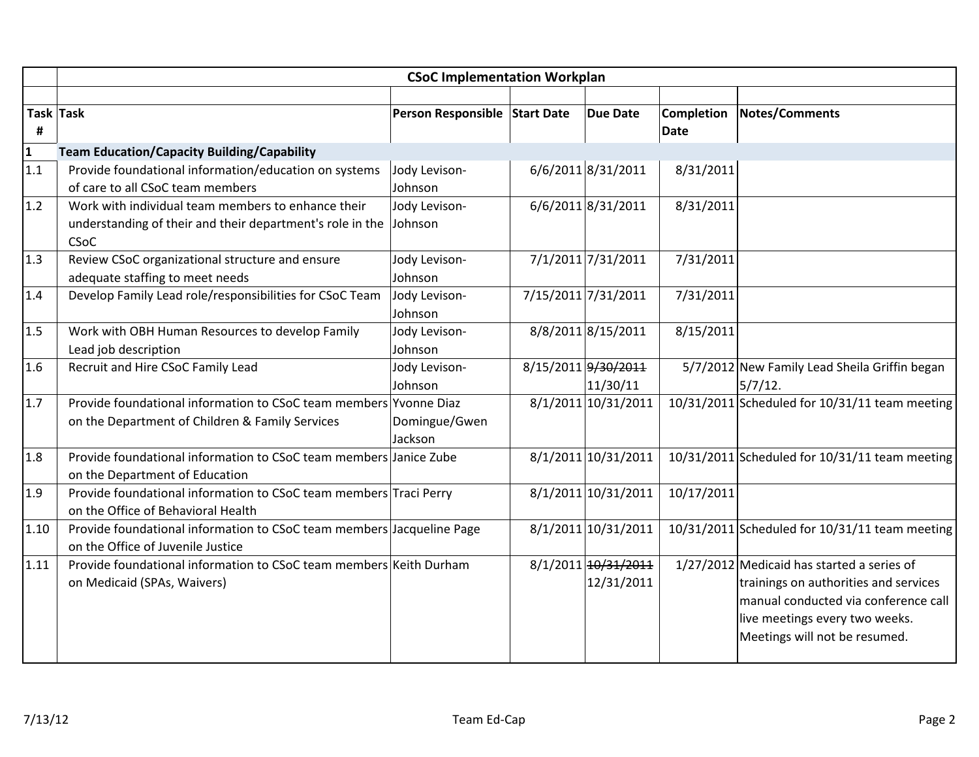|                 | <b>CSoC Implementation Workplan</b>                                                                                     |                               |  |                                   |             |                                                                                                                                                                                                  |  |
|-----------------|-------------------------------------------------------------------------------------------------------------------------|-------------------------------|--|-----------------------------------|-------------|--------------------------------------------------------------------------------------------------------------------------------------------------------------------------------------------------|--|
|                 |                                                                                                                         |                               |  |                                   |             |                                                                                                                                                                                                  |  |
|                 | Task Task                                                                                                               | Person Responsible Start Date |  | <b>Due Date</b>                   | Completion  | <b>Notes/Comments</b>                                                                                                                                                                            |  |
| #               |                                                                                                                         |                               |  |                                   | <b>Date</b> |                                                                                                                                                                                                  |  |
| $\frac{1}{1.1}$ | <b>Team Education/Capacity Building/Capability</b>                                                                      |                               |  |                                   |             |                                                                                                                                                                                                  |  |
|                 | Provide foundational information/education on systems<br>of care to all CSoC team members                               | Jody Levison-<br>Johnson      |  | 6/6/2011 8/31/2011                | 8/31/2011   |                                                                                                                                                                                                  |  |
| 1.2             | Work with individual team members to enhance their<br>understanding of their and their department's role in the<br>CSoC | Jody Levison-<br>Johnson      |  | 6/6/2011 8/31/2011                | 8/31/2011   |                                                                                                                                                                                                  |  |
| 1.3             | Review CSoC organizational structure and ensure<br>adequate staffing to meet needs                                      | Jody Levison-<br>Johnson      |  | 7/1/2011 7/31/2011                | 7/31/2011   |                                                                                                                                                                                                  |  |
| 1.4             | Develop Family Lead role/responsibilities for CSoC Team                                                                 | Jody Levison-<br>Johnson      |  | 7/15/2011 7/31/2011               | 7/31/2011   |                                                                                                                                                                                                  |  |
| 1.5             | Work with OBH Human Resources to develop Family<br>Lead job description                                                 | Jody Levison-<br>Johnson      |  | 8/8/2011 8/15/2011                | 8/15/2011   |                                                                                                                                                                                                  |  |
| 1.6             | Recruit and Hire CSoC Family Lead                                                                                       | Jody Levison-<br>Johnson      |  | 8/15/2011 9/30/2011<br>11/30/11   |             | 5/7/2012 New Family Lead Sheila Griffin began<br>$5/7/12$ .                                                                                                                                      |  |
| 1.7             | Provide foundational information to CSoC team members Yvonne Diaz<br>on the Department of Children & Family Services    | Domingue/Gwen<br>Jackson      |  | 8/1/2011 10/31/2011               |             | 10/31/2011 Scheduled for 10/31/11 team meeting                                                                                                                                                   |  |
| 1.8             | Provide foundational information to CSoC team members Janice Zube<br>on the Department of Education                     |                               |  | 8/1/2011 10/31/2011               |             | 10/31/2011 Scheduled for 10/31/11 team meeting                                                                                                                                                   |  |
| 1.9             | Provide foundational information to CSoC team members Traci Perry<br>on the Office of Behavioral Health                 |                               |  | 8/1/2011 10/31/2011               | 10/17/2011  |                                                                                                                                                                                                  |  |
| 1.10            | Provide foundational information to CSoC team members Jacqueline Page<br>on the Office of Juvenile Justice              |                               |  | 8/1/2011 10/31/2011               |             | 10/31/2011 Scheduled for 10/31/11 team meeting                                                                                                                                                   |  |
| 1.11            | Provide foundational information to CSoC team members Keith Durham<br>on Medicaid (SPAs, Waivers)                       |                               |  | 8/1/2011 10/31/2011<br>12/31/2011 |             | $1/27/2012$ Medicaid has started a series of<br>trainings on authorities and services<br>manual conducted via conference call<br>live meetings every two weeks.<br>Meetings will not be resumed. |  |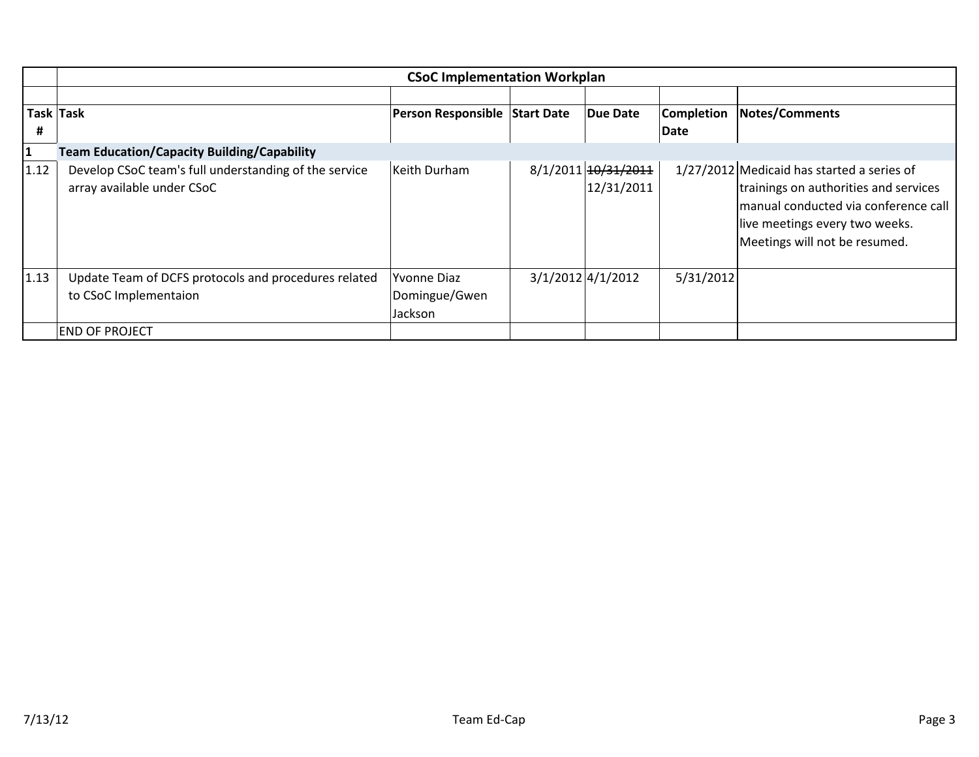|              |                                                                                     | <b>CSoC Implementation Workplan</b>            |  |                                   |                   |                                                                                                                                                                                                |  |  |
|--------------|-------------------------------------------------------------------------------------|------------------------------------------------|--|-----------------------------------|-------------------|------------------------------------------------------------------------------------------------------------------------------------------------------------------------------------------------|--|--|
|              |                                                                                     |                                                |  |                                   |                   |                                                                                                                                                                                                |  |  |
|              | Task Task                                                                           | Person Responsible Start Date                  |  | Due Date                          | <b>Completion</b> | Notes/Comments                                                                                                                                                                                 |  |  |
| #            |                                                                                     |                                                |  |                                   | Date              |                                                                                                                                                                                                |  |  |
| $\mathbf{1}$ | <b>Team Education/Capacity Building/Capability</b>                                  |                                                |  |                                   |                   |                                                                                                                                                                                                |  |  |
| 1.12         | Develop CSoC team's full understanding of the service<br>array available under CSoC | Keith Durham                                   |  | 8/1/2011 10/31/2011<br>12/31/2011 |                   | 1/27/2012 Medicaid has started a series of<br>trainings on authorities and services<br>manual conducted via conference call<br>live meetings every two weeks.<br>Meetings will not be resumed. |  |  |
| 1.13         | Update Team of DCFS protocols and procedures related<br>to CSoC Implementaion       | <b>Yvonne Diaz</b><br>Domingue/Gwen<br>Jackson |  | $3/1/2012$ 4/1/2012               | 5/31/2012         |                                                                                                                                                                                                |  |  |
|              | <b>END OF PROJECT</b>                                                               |                                                |  |                                   |                   |                                                                                                                                                                                                |  |  |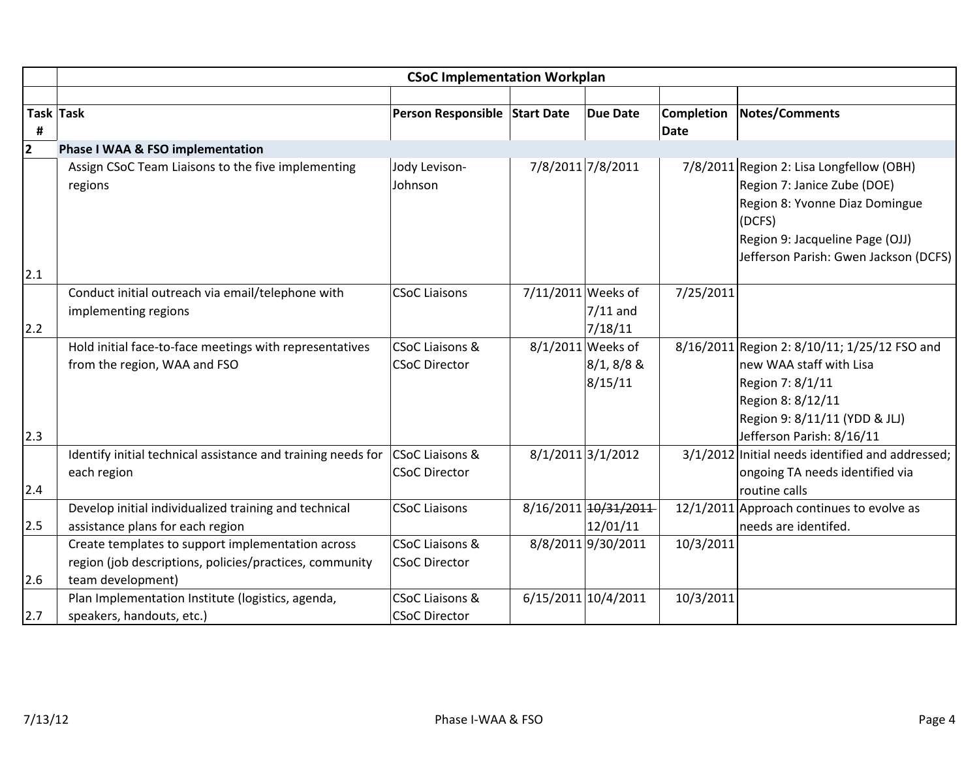|        | <b>CSoC Implementation Workplan</b>                          |                               |                    |                      |                   |                                                                         |  |
|--------|--------------------------------------------------------------|-------------------------------|--------------------|----------------------|-------------------|-------------------------------------------------------------------------|--|
|        |                                                              |                               |                    |                      |                   |                                                                         |  |
|        | Task Task                                                    | Person Responsible Start Date |                    | <b>Due Date</b>      | <b>Completion</b> | Notes/Comments                                                          |  |
| #<br>2 |                                                              |                               |                    |                      | Date              |                                                                         |  |
|        | Phase I WAA & FSO implementation                             |                               |                    |                      |                   |                                                                         |  |
|        | Assign CSoC Team Liaisons to the five implementing           | Jody Levison-<br>Johnson      |                    | 7/8/2011 7/8/2011    |                   | 7/8/2011 Region 2: Lisa Longfellow (OBH)<br>Region 7: Janice Zube (DOE) |  |
|        | regions                                                      |                               |                    |                      |                   | Region 8: Yvonne Diaz Domingue                                          |  |
|        |                                                              |                               |                    |                      |                   | (DCFS)                                                                  |  |
|        |                                                              |                               |                    |                      |                   | Region 9: Jacqueline Page (OJJ)                                         |  |
|        |                                                              |                               |                    |                      |                   | Jefferson Parish: Gwen Jackson (DCFS)                                   |  |
| 2.1    |                                                              |                               |                    |                      |                   |                                                                         |  |
|        | Conduct initial outreach via email/telephone with            | <b>CSoC Liaisons</b>          | 7/11/2011 Weeks of |                      | 7/25/2011         |                                                                         |  |
|        | implementing regions                                         |                               |                    | $7/11$ and           |                   |                                                                         |  |
| 2.2    |                                                              |                               |                    | 7/18/11              |                   |                                                                         |  |
|        | Hold initial face-to-face meetings with representatives      | <b>CSoC Liaisons &amp;</b>    |                    | 8/1/2011 Weeks of    |                   | 8/16/2011 Region 2: 8/10/11; 1/25/12 FSO and                            |  |
|        | from the region, WAA and FSO                                 | <b>CSoC Director</b>          |                    | $8/1, 8/8$ &         |                   | new WAA staff with Lisa                                                 |  |
|        |                                                              |                               |                    | 8/15/11              |                   | Region 7: 8/1/11                                                        |  |
|        |                                                              |                               |                    |                      |                   | Region 8: 8/12/11                                                       |  |
|        |                                                              |                               |                    |                      |                   | Region 9: 8/11/11 (YDD & JLJ)                                           |  |
| 2.3    |                                                              |                               |                    |                      |                   | Jefferson Parish: 8/16/11                                               |  |
|        | Identify initial technical assistance and training needs for | <b>CSoC Liaisons &amp;</b>    |                    | 8/1/2011 3/1/2012    |                   | 3/1/2012 Initial needs identified and addressed;                        |  |
|        | each region                                                  | <b>CSoC Director</b>          |                    |                      |                   | ongoing TA needs identified via                                         |  |
| 2.4    |                                                              |                               |                    |                      |                   | routine calls                                                           |  |
|        | Develop initial individualized training and technical        | <b>CSoC Liaisons</b>          |                    | 8/16/2011 10/31/2011 |                   | 12/1/2011 Approach continues to evolve as                               |  |
| 2.5    | assistance plans for each region                             |                               |                    | 12/01/11             |                   | needs are identifed.                                                    |  |
|        | Create templates to support implementation across            | <b>CSoC Liaisons &amp;</b>    |                    | 8/8/2011 9/30/2011   | 10/3/2011         |                                                                         |  |
|        | region (job descriptions, policies/practices, community      | <b>CSoC Director</b>          |                    |                      |                   |                                                                         |  |
| 2.6    | team development)                                            |                               |                    |                      |                   |                                                                         |  |
|        | Plan Implementation Institute (logistics, agenda,            | <b>CSoC Liaisons &amp;</b>    |                    | 6/15/2011 10/4/2011  | 10/3/2011         |                                                                         |  |
| 2.7    | speakers, handouts, etc.)                                    | <b>CSoC Director</b>          |                    |                      |                   |                                                                         |  |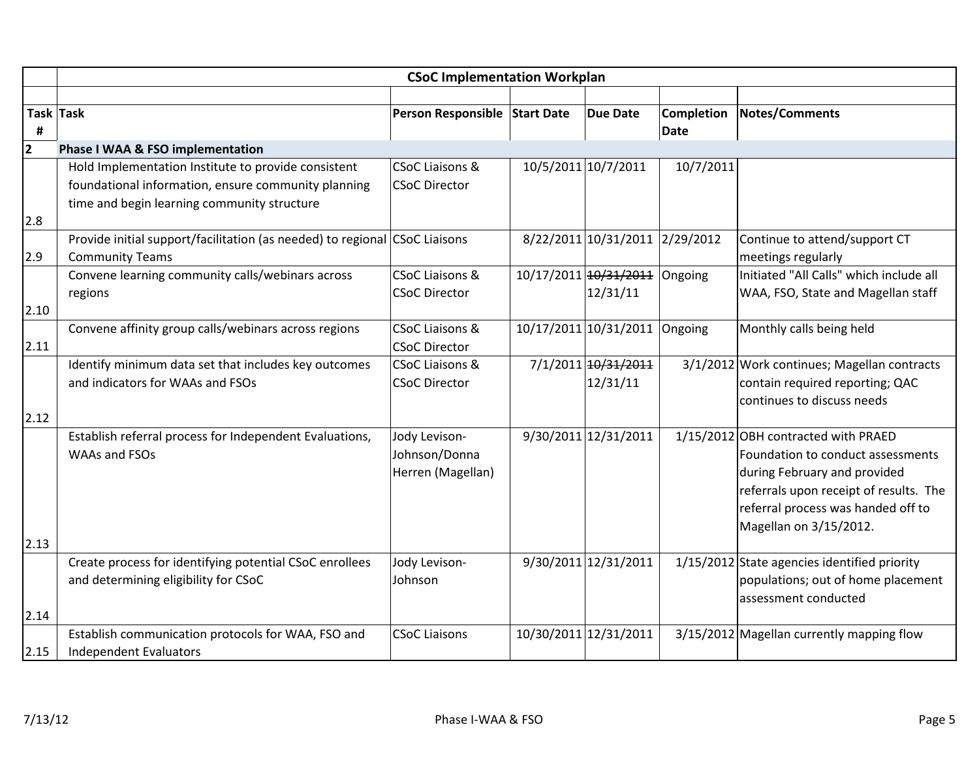|      | <b>CSoC Implementation Workplan</b>                                        |                               |  |                                |             |                                              |  |
|------|----------------------------------------------------------------------------|-------------------------------|--|--------------------------------|-------------|----------------------------------------------|--|
|      |                                                                            |                               |  |                                |             |                                              |  |
|      | Task Task                                                                  | Person Responsible Start Date |  | <b>Due Date</b>                | Completion  | Notes/Comments                               |  |
| #    |                                                                            |                               |  |                                | <b>Date</b> |                                              |  |
| 2    | Phase I WAA & FSO implementation                                           |                               |  |                                |             |                                              |  |
|      | Hold Implementation Institute to provide consistent                        | <b>CSoC Liaisons &amp;</b>    |  | 10/5/2011 10/7/2011            | 10/7/2011   |                                              |  |
|      | foundational information, ensure community planning                        | <b>CSoC Director</b>          |  |                                |             |                                              |  |
|      | time and begin learning community structure                                |                               |  |                                |             |                                              |  |
| 2.8  |                                                                            |                               |  |                                |             |                                              |  |
|      | Provide initial support/facilitation (as needed) to regional CSoC Liaisons |                               |  | 8/22/2011 10/31/2011 2/29/2012 |             | Continue to attend/support CT                |  |
| 2.9  | <b>Community Teams</b>                                                     |                               |  |                                |             | meetings regularly                           |  |
|      | Convene learning community calls/webinars across                           | CSoC Liaisons &               |  | 10/17/2011 10/31/2011 Ongoing  |             | Initiated "All Calls" which include all      |  |
|      | regions                                                                    | <b>CSoC Director</b>          |  | 12/31/11                       |             | WAA, FSO, State and Magellan staff           |  |
| 2.10 |                                                                            |                               |  |                                |             |                                              |  |
|      | Convene affinity group calls/webinars across regions                       | <b>CSoC Liaisons &amp;</b>    |  | 10/17/2011 10/31/2011          | Ongoing     | Monthly calls being held                     |  |
| 2.11 |                                                                            | <b>CSoC Director</b>          |  |                                |             |                                              |  |
|      | Identify minimum data set that includes key outcomes                       | <b>CSoC Liaisons &amp;</b>    |  | 7/1/2011 10/31/2011            |             | 3/1/2012 Work continues; Magellan contracts  |  |
|      | and indicators for WAAs and FSOs                                           | <b>CSoC Director</b>          |  | 12/31/11                       |             | contain required reporting; QAC              |  |
|      |                                                                            |                               |  |                                |             | continues to discuss needs                   |  |
| 2.12 |                                                                            |                               |  |                                |             |                                              |  |
|      | Establish referral process for Independent Evaluations,                    | Jody Levison-                 |  | 9/30/2011 12/31/2011           |             | 1/15/2012 OBH contracted with PRAED          |  |
|      | WAAs and FSOs                                                              | Johnson/Donna                 |  |                                |             | Foundation to conduct assessments            |  |
|      |                                                                            | Herren (Magellan)             |  |                                |             | during February and provided                 |  |
|      |                                                                            |                               |  |                                |             | referrals upon receipt of results. The       |  |
|      |                                                                            |                               |  |                                |             | referral process was handed off to           |  |
|      |                                                                            |                               |  |                                |             | Magellan on 3/15/2012.                       |  |
| 2.13 |                                                                            |                               |  |                                |             |                                              |  |
|      | Create process for identifying potential CSoC enrollees                    | Jody Levison-                 |  | 9/30/2011 12/31/2011           |             | 1/15/2012 State agencies identified priority |  |
|      | and determining eligibility for CSoC                                       | Johnson                       |  |                                |             | populations; out of home placement           |  |
|      |                                                                            |                               |  |                                |             | assessment conducted                         |  |
| 2.14 |                                                                            |                               |  |                                |             |                                              |  |
|      | Establish communication protocols for WAA, FSO and                         | <b>CSoC Liaisons</b>          |  | 10/30/2011 12/31/2011          |             | 3/15/2012 Magellan currently mapping flow    |  |
| 2.15 | <b>Independent Evaluators</b>                                              |                               |  |                                |             |                                              |  |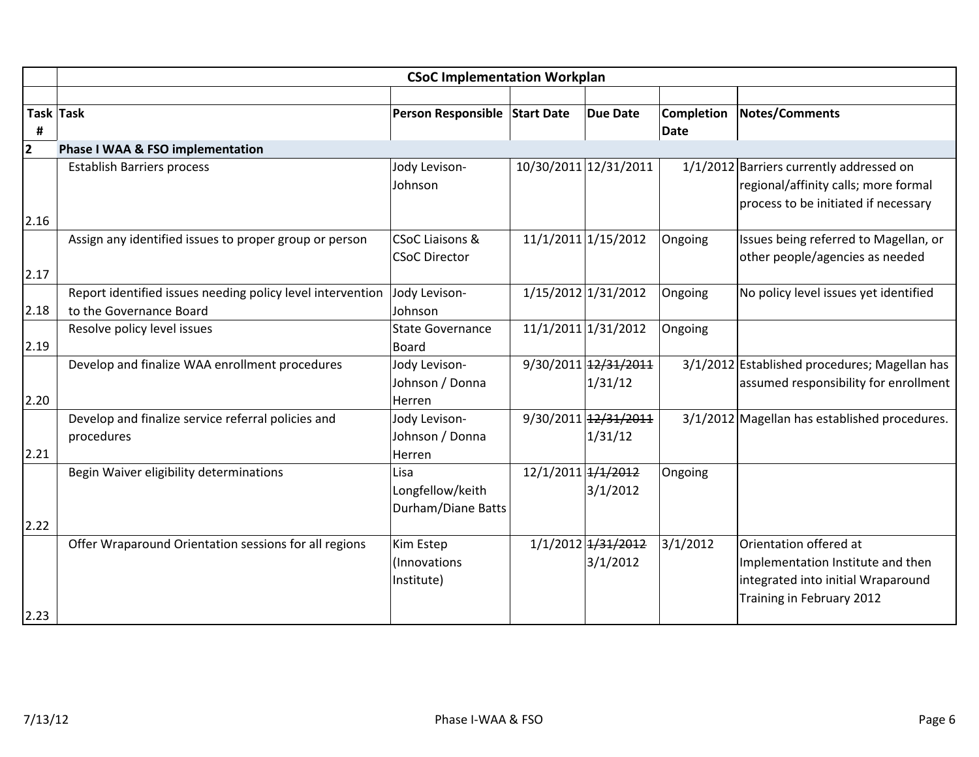|      |                                                            | <b>CSoC Implementation Workplan</b> |                    |                       |             |                                               |
|------|------------------------------------------------------------|-------------------------------------|--------------------|-----------------------|-------------|-----------------------------------------------|
|      |                                                            |                                     |                    |                       |             |                                               |
|      | Task Task                                                  | Person Responsible Start Date       |                    | <b>Due Date</b>       | Completion  | <b>Notes/Comments</b>                         |
| Ħ    |                                                            |                                     |                    |                       | <b>Date</b> |                                               |
| 2    | Phase I WAA & FSO implementation                           |                                     |                    |                       |             |                                               |
|      | <b>Establish Barriers process</b>                          | Jody Levison-                       |                    | 10/30/2011 12/31/2011 |             | 1/1/2012 Barriers currently addressed on      |
|      |                                                            | Johnson                             |                    |                       |             | regional/affinity calls; more formal          |
|      |                                                            |                                     |                    |                       |             | process to be initiated if necessary          |
| 2.16 |                                                            |                                     |                    |                       |             |                                               |
|      | Assign any identified issues to proper group or person     | <b>CSoC Liaisons &amp;</b>          |                    | 11/1/2011 1/15/2012   | Ongoing     | Issues being referred to Magellan, or         |
|      |                                                            | <b>CSoC Director</b>                |                    |                       |             | other people/agencies as needed               |
| 2.17 |                                                            |                                     |                    |                       |             |                                               |
|      | Report identified issues needing policy level intervention | Jody Levison-                       |                    | 1/15/2012 1/31/2012   | Ongoing     | No policy level issues yet identified         |
| 2.18 | to the Governance Board                                    | Johnson                             |                    |                       |             |                                               |
|      | Resolve policy level issues                                | <b>State Governance</b>             |                    | 11/1/2011 1/31/2012   | Ongoing     |                                               |
| 2.19 |                                                            | <b>Board</b>                        |                    |                       |             |                                               |
|      | Develop and finalize WAA enrollment procedures             | Jody Levison-                       |                    | 9/30/2011 12/31/2011  |             | 3/1/2012 Established procedures; Magellan has |
|      |                                                            | Johnson / Donna                     |                    | 1/31/12               |             | assumed responsibility for enrollment         |
| 2.20 |                                                            | Herren                              |                    |                       |             |                                               |
|      | Develop and finalize service referral policies and         | Jody Levison-                       |                    | 9/30/2011 12/31/2011  |             | 3/1/2012 Magellan has established procedures. |
|      | procedures                                                 | Johnson / Donna                     |                    | 1/31/12               |             |                                               |
| 2.21 |                                                            | Herren                              |                    |                       |             |                                               |
|      | Begin Waiver eligibility determinations                    | Lisa                                | 12/1/2011 + 1/2012 |                       | Ongoing     |                                               |
|      |                                                            | Longfellow/keith                    |                    | 3/1/2012              |             |                                               |
|      |                                                            | Durham/Diane Batts                  |                    |                       |             |                                               |
| 2.22 |                                                            |                                     |                    |                       |             |                                               |
|      | Offer Wraparound Orientation sessions for all regions      | Kim Estep                           |                    | 1/1/2012 1/31/2012    | 3/1/2012    | Orientation offered at                        |
|      |                                                            | (Innovations                        |                    | 3/1/2012              |             | Implementation Institute and then             |
|      |                                                            | Institute)                          |                    |                       |             | integrated into initial Wraparound            |
|      |                                                            |                                     |                    |                       |             | Training in February 2012                     |
| 2.23 |                                                            |                                     |                    |                       |             |                                               |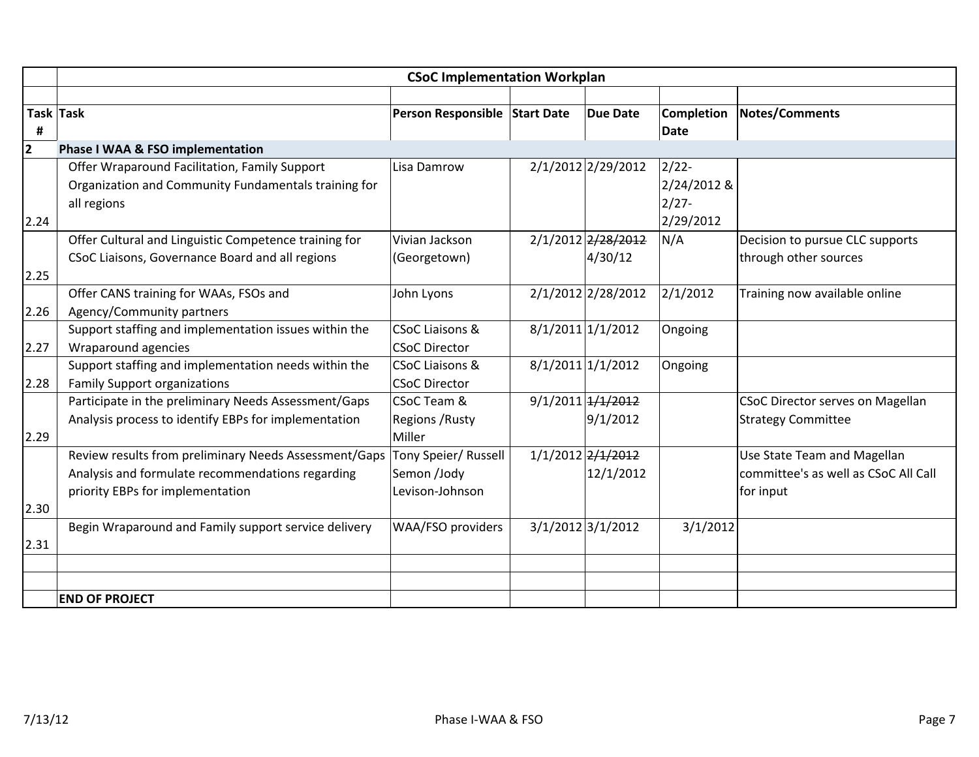|                | <b>CSoC Implementation Workplan</b>                                                                                                           |                                                        |  |                                |                                                  |                                                                                  |  |
|----------------|-----------------------------------------------------------------------------------------------------------------------------------------------|--------------------------------------------------------|--|--------------------------------|--------------------------------------------------|----------------------------------------------------------------------------------|--|
|                |                                                                                                                                               |                                                        |  |                                |                                                  |                                                                                  |  |
| #              | Task Task                                                                                                                                     | Person Responsible Start Date                          |  | <b>Due Date</b>                | <b>Completion</b><br>Date                        | Notes/Comments                                                                   |  |
| $\overline{2}$ | Phase I WAA & FSO implementation                                                                                                              |                                                        |  |                                |                                                  |                                                                                  |  |
| 2.24           | Offer Wraparound Facilitation, Family Support<br>Organization and Community Fundamentals training for<br>all regions                          | Lisa Damrow                                            |  | 2/1/2012 2/29/2012             | $2/22$ -<br>2/24/2012 &<br>$2/27 -$<br>2/29/2012 |                                                                                  |  |
| 2.25           | Offer Cultural and Linguistic Competence training for<br>CSoC Liaisons, Governance Board and all regions                                      | Vivian Jackson<br>(Georgetown)                         |  | 2/1/2012 2/28/2012<br>4/30/12  | N/A                                              | Decision to pursue CLC supports<br>through other sources                         |  |
| 2.26           | Offer CANS training for WAAs, FSOs and<br>Agency/Community partners                                                                           | John Lyons                                             |  | 2/1/2012 2/28/2012             | 2/1/2012                                         | Training now available online                                                    |  |
| 2.27           | Support staffing and implementation issues within the<br>Wraparound agencies                                                                  | <b>CSoC Liaisons &amp;</b><br><b>CSoC Director</b>     |  | 8/1/2011 1/1/2012              | Ongoing                                          |                                                                                  |  |
| 2.28           | Support staffing and implementation needs within the<br><b>Family Support organizations</b>                                                   | <b>CSoC Liaisons &amp;</b><br><b>CSoC Director</b>     |  | 8/1/2011 1/1/2012              | Ongoing                                          |                                                                                  |  |
| 2.29           | Participate in the preliminary Needs Assessment/Gaps<br>Analysis process to identify EBPs for implementation                                  | CSoC Team &<br>Regions / Rusty<br>Miller               |  | 9/1/2011 + 1/2012<br>9/1/2012  |                                                  | <b>CSoC Director serves on Magellan</b><br><b>Strategy Committee</b>             |  |
| 2.30           | Review results from preliminary Needs Assessment/Gaps<br>Analysis and formulate recommendations regarding<br>priority EBPs for implementation | Tony Speier/ Russell<br>Semon /Jody<br>Levison-Johnson |  | 1/1/2012 2/1/2012<br>12/1/2012 |                                                  | Use State Team and Magellan<br>committee's as well as CSoC All Call<br>for input |  |
| 2.31           | Begin Wraparound and Family support service delivery                                                                                          | WAA/FSO providers                                      |  | 3/1/2012 3/1/2012              | 3/1/2012                                         |                                                                                  |  |
|                |                                                                                                                                               |                                                        |  |                                |                                                  |                                                                                  |  |
|                | <b>END OF PROJECT</b>                                                                                                                         |                                                        |  |                                |                                                  |                                                                                  |  |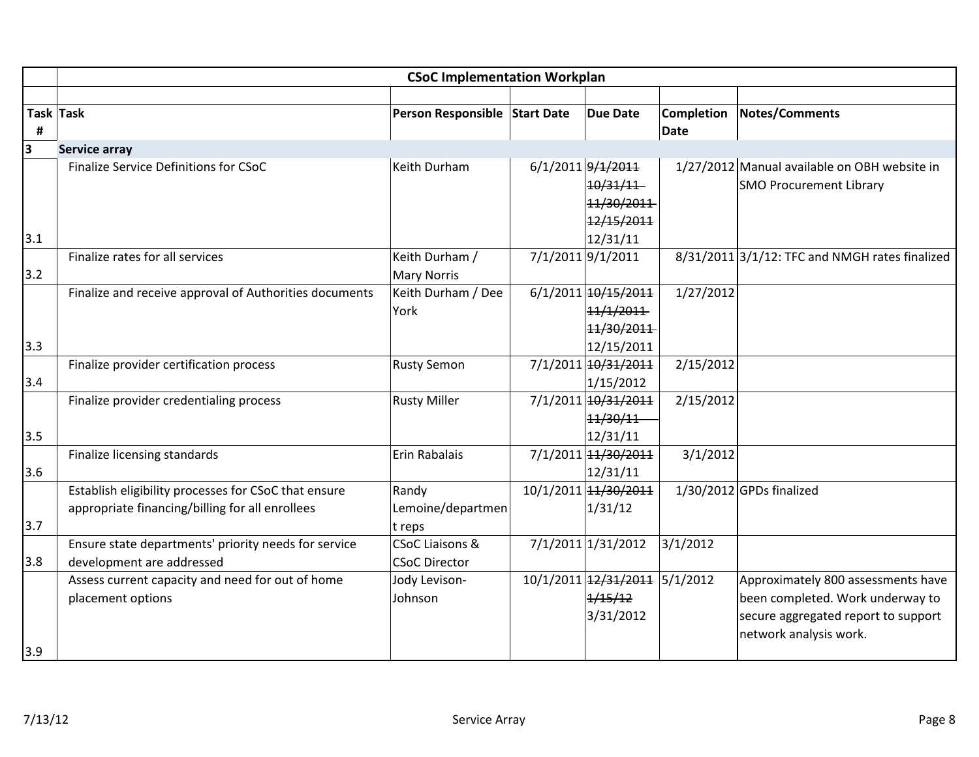|     |                                                        | <b>CSoC Implementation Workplan</b>      |                               |                   |                                                     |
|-----|--------------------------------------------------------|------------------------------------------|-------------------------------|-------------------|-----------------------------------------------------|
|     |                                                        |                                          |                               |                   |                                                     |
|     | Task Task                                              | Person Responsible Start Date            | <b>Due Date</b>               | <b>Completion</b> | <b>Notes/Comments</b>                               |
| #   |                                                        |                                          |                               | <b>Date</b>       |                                                     |
| 3   | Service array                                          |                                          |                               |                   |                                                     |
|     | Finalize Service Definitions for CSoC                  | Keith Durham                             | 6/1/2011 9/1/2011             |                   | 1/27/2012 Manual available on OBH website in        |
|     |                                                        |                                          | 10/31/11                      |                   | <b>SMO Procurement Library</b>                      |
|     |                                                        |                                          | 11/30/2011                    |                   |                                                     |
|     |                                                        |                                          | 12/15/2011                    |                   |                                                     |
| 3.1 |                                                        |                                          | 12/31/11                      |                   |                                                     |
| 3.2 | Finalize rates for all services                        | Keith Durham /                           | 7/1/2011 9/1/2011             |                   | $8/31/2011$ $3/1/12$ : TFC and NMGH rates finalized |
|     | Finalize and receive approval of Authorities documents | <b>Mary Norris</b><br>Keith Durham / Dee | 6/1/2011 10/15/2011           | 1/27/2012         |                                                     |
|     |                                                        | York                                     | 11/1/2011                     |                   |                                                     |
|     |                                                        |                                          | 11/30/2011                    |                   |                                                     |
| 3.3 |                                                        |                                          | 12/15/2011                    |                   |                                                     |
|     | Finalize provider certification process                | <b>Rusty Semon</b>                       | 7/1/2011 10/31/2011           | 2/15/2012         |                                                     |
| 3.4 |                                                        |                                          | 1/15/2012                     |                   |                                                     |
|     | Finalize provider credentialing process                | <b>Rusty Miller</b>                      | 7/1/2011 10/31/2011           | 2/15/2012         |                                                     |
|     |                                                        |                                          | 11/30/11                      |                   |                                                     |
| 3.5 |                                                        |                                          | 12/31/11                      |                   |                                                     |
|     | Finalize licensing standards                           | Erin Rabalais                            | 7/1/2011 14/30/2011           | 3/1/2012          |                                                     |
| 3.6 |                                                        |                                          | 12/31/11                      |                   |                                                     |
|     | Establish eligibility processes for CSoC that ensure   | Randy                                    | 10/1/2011 14/30/2011          |                   | 1/30/2012 GPDs finalized                            |
|     | appropriate financing/billing for all enrollees        | Lemoine/departmen                        | 1/31/12                       |                   |                                                     |
| 3.7 |                                                        | t reps                                   |                               |                   |                                                     |
|     | Ensure state departments' priority needs for service   | <b>CSoC Liaisons &amp;</b>               | 7/1/2011 1/31/2012            | 3/1/2012          |                                                     |
| 3.8 | development are addressed                              | <b>CSoC Director</b>                     |                               |                   |                                                     |
|     | Assess current capacity and need for out of home       | Jody Levison-                            | 10/1/2011 12/31/2011 5/1/2012 |                   | Approximately 800 assessments have                  |
|     | placement options                                      | Johnson                                  | 1/15/12                       |                   | been completed. Work underway to                    |
|     |                                                        |                                          | 3/31/2012                     |                   | secure aggregated report to support                 |
|     |                                                        |                                          |                               |                   | network analysis work.                              |
| 3.9 |                                                        |                                          |                               |                   |                                                     |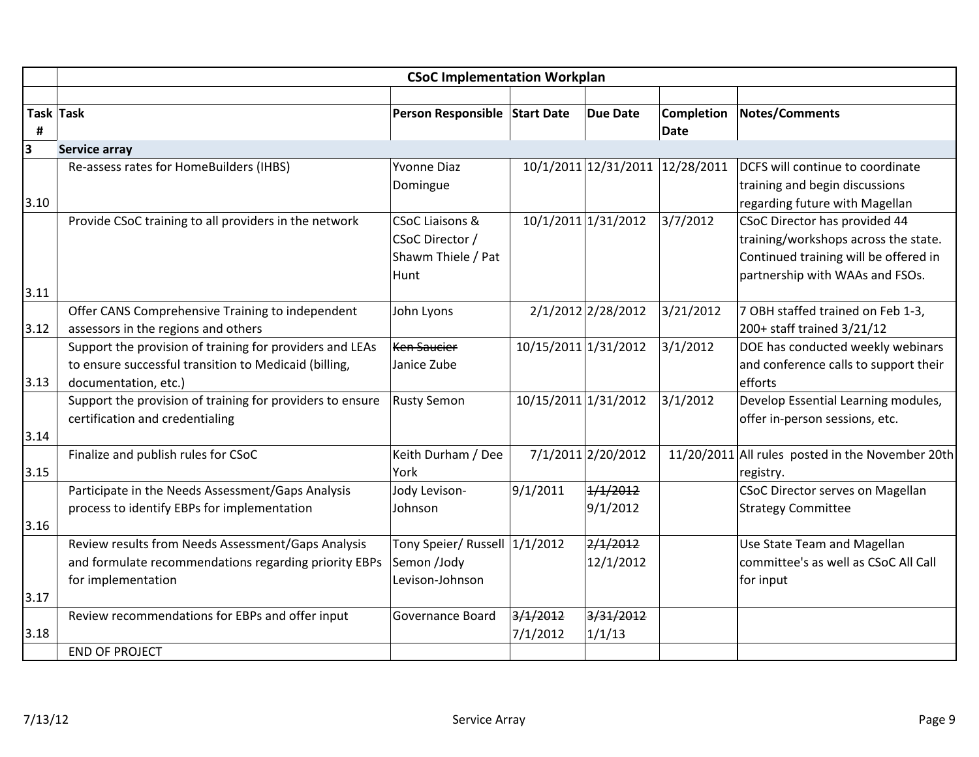|                         |                                                           | <b>CSoC Implementation Workplan</b> |                      |                     |                                 |                                                  |
|-------------------------|-----------------------------------------------------------|-------------------------------------|----------------------|---------------------|---------------------------------|--------------------------------------------------|
|                         |                                                           |                                     |                      |                     |                                 |                                                  |
|                         | Task Task                                                 | Person Responsible Start Date       |                      | <b>Due Date</b>     | Completion                      | <b>Notes/Comments</b>                            |
| #                       |                                                           |                                     |                      |                     | Date                            |                                                  |
| $\overline{\mathsf{B}}$ | <b>Service array</b>                                      |                                     |                      |                     |                                 |                                                  |
|                         | Re-assess rates for HomeBuilders (IHBS)                   | <b>Yvonne Diaz</b>                  |                      |                     | 10/1/2011 12/31/2011 12/28/2011 | DCFS will continue to coordinate                 |
|                         |                                                           | Domingue                            |                      |                     |                                 | training and begin discussions                   |
| 3.10                    |                                                           |                                     |                      |                     |                                 | regarding future with Magellan                   |
|                         | Provide CSoC training to all providers in the network     | <b>CSoC Liaisons &amp;</b>          |                      | 10/1/2011 1/31/2012 | 3/7/2012                        | CSoC Director has provided 44                    |
|                         |                                                           | CSoC Director /                     |                      |                     |                                 | training/workshops across the state.             |
|                         |                                                           | Shawm Thiele / Pat                  |                      |                     |                                 | Continued training will be offered in            |
|                         |                                                           | Hunt                                |                      |                     |                                 | partnership with WAAs and FSOs.                  |
| 3.11                    |                                                           |                                     |                      |                     |                                 |                                                  |
|                         | Offer CANS Comprehensive Training to independent          | John Lyons                          |                      | 2/1/2012 2/28/2012  | 3/21/2012                       | 7 OBH staffed trained on Feb 1-3,                |
| 3.12                    | assessors in the regions and others                       |                                     |                      |                     |                                 | 200+ staff trained 3/21/12                       |
|                         | Support the provision of training for providers and LEAs  | <b>Ken Saucier</b>                  | 10/15/2011 1/31/2012 |                     | 3/1/2012                        | DOE has conducted weekly webinars                |
|                         | to ensure successful transition to Medicaid (billing,     | Janice Zube                         |                      |                     |                                 | and conference calls to support their            |
| 3.13                    | documentation, etc.)                                      |                                     |                      |                     |                                 | efforts                                          |
|                         | Support the provision of training for providers to ensure | <b>Rusty Semon</b>                  | 10/15/2011 1/31/2012 |                     | 3/1/2012                        | Develop Essential Learning modules,              |
|                         | certification and credentialing                           |                                     |                      |                     |                                 | offer in-person sessions, etc.                   |
| 3.14                    |                                                           |                                     |                      |                     |                                 |                                                  |
|                         | Finalize and publish rules for CSoC                       | Keith Durham / Dee                  |                      | 7/1/2011 2/20/2012  |                                 | 11/20/2011 All rules posted in the November 20th |
| 3.15                    |                                                           | York                                |                      |                     |                                 | registry.                                        |
|                         | Participate in the Needs Assessment/Gaps Analysis         | Jody Levison-                       | 9/1/2011             | 1/1/2012            |                                 | <b>CSoC Director serves on Magellan</b>          |
|                         | process to identify EBPs for implementation               | Johnson                             |                      | 9/1/2012            |                                 | <b>Strategy Committee</b>                        |
| 3.16                    |                                                           |                                     |                      |                     |                                 |                                                  |
|                         | Review results from Needs Assessment/Gaps Analysis        | Tony Speier/ Russell 1/1/2012       |                      | 2/1/2012            |                                 | Use State Team and Magellan                      |
|                         | and formulate recommendations regarding priority EBPs     | Semon /Jody                         |                      | 12/1/2012           |                                 | committee's as well as CSoC All Call             |
|                         | for implementation                                        | Levison-Johnson                     |                      |                     |                                 | for input                                        |
| 3.17                    |                                                           |                                     |                      |                     |                                 |                                                  |
|                         | Review recommendations for EBPs and offer input           | <b>Governance Board</b>             | 3/1/2012             | 3/31/2012           |                                 |                                                  |
| 3.18                    |                                                           |                                     | 7/1/2012             | 1/1/13              |                                 |                                                  |
|                         | <b>END OF PROJECT</b>                                     |                                     |                      |                     |                                 |                                                  |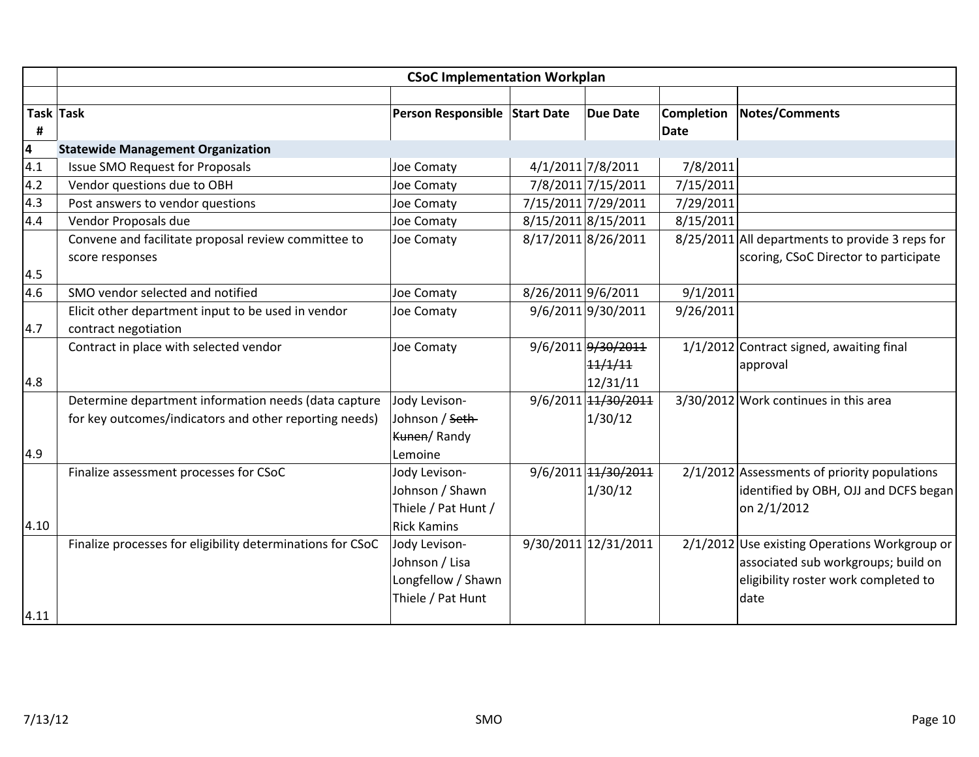|                         | <b>CSoC Implementation Workplan</b>                        |                               |                    |                      |            |                                                 |  |  |
|-------------------------|------------------------------------------------------------|-------------------------------|--------------------|----------------------|------------|-------------------------------------------------|--|--|
|                         |                                                            |                               |                    |                      |            |                                                 |  |  |
| <b>Task Task</b>        |                                                            | Person Responsible Start Date |                    | <b>Due Date</b>      | Completion | <b>Notes/Comments</b>                           |  |  |
| #                       |                                                            |                               |                    |                      | Date       |                                                 |  |  |
| $\overline{\mathbf{r}}$ | <b>Statewide Management Organization</b>                   |                               |                    |                      |            |                                                 |  |  |
| $\overline{4.1}$        | <b>Issue SMO Request for Proposals</b>                     | Joe Comaty                    |                    | 4/1/2011 7/8/2011    | 7/8/2011   |                                                 |  |  |
| 4.2                     | Vendor questions due to OBH                                | Joe Comaty                    |                    | 7/8/2011 7/15/2011   | 7/15/2011  |                                                 |  |  |
| 4.3                     | Post answers to vendor questions                           | Joe Comaty                    |                    | 7/15/2011 7/29/2011  | 7/29/2011  |                                                 |  |  |
| 4.4                     | Vendor Proposals due                                       | Joe Comaty                    |                    | 8/15/2011 8/15/2011  | 8/15/2011  |                                                 |  |  |
|                         | Convene and facilitate proposal review committee to        | Joe Comaty                    |                    | 8/17/2011 8/26/2011  |            | 8/25/2011 All departments to provide 3 reps for |  |  |
|                         | score responses                                            |                               |                    |                      |            | scoring, CSoC Director to participate           |  |  |
| 4.5                     |                                                            |                               |                    |                      |            |                                                 |  |  |
| 4.6                     | SMO vendor selected and notified                           | Joe Comaty                    | 8/26/2011 9/6/2011 |                      | 9/1/2011   |                                                 |  |  |
|                         | Elicit other department input to be used in vendor         | Joe Comaty                    |                    | 9/6/2011 9/30/2011   | 9/26/2011  |                                                 |  |  |
| 4.7                     | contract negotiation                                       |                               |                    |                      |            |                                                 |  |  |
|                         | Contract in place with selected vendor                     | Joe Comaty                    |                    | 9/6/2011 9/30/2011   |            | $1/1/2012$ Contract signed, awaiting final      |  |  |
|                         |                                                            |                               |                    | 11/1/11              |            | approval                                        |  |  |
| 4.8                     |                                                            |                               |                    | 12/31/11             |            |                                                 |  |  |
|                         | Determine department information needs (data capture       | Jody Levison-                 |                    | 9/6/2011 14/30/2011  |            | $3/30/2012$ Work continues in this area         |  |  |
|                         | for key outcomes/indicators and other reporting needs)     | Johnson / <del>Seth</del>     |                    | 1/30/12              |            |                                                 |  |  |
|                         |                                                            | Kunen/Randy                   |                    |                      |            |                                                 |  |  |
| 4.9                     |                                                            | Lemoine                       |                    |                      |            |                                                 |  |  |
|                         | Finalize assessment processes for CSoC                     | Jody Levison-                 |                    | 9/6/2011 14/30/2011  |            | 2/1/2012 Assessments of priority populations    |  |  |
|                         |                                                            | Johnson / Shawn               |                    | 1/30/12              |            | identified by OBH, OJJ and DCFS began           |  |  |
|                         |                                                            | Thiele / Pat Hunt /           |                    |                      |            | on 2/1/2012                                     |  |  |
| 4.10                    |                                                            | <b>Rick Kamins</b>            |                    |                      |            |                                                 |  |  |
|                         | Finalize processes for eligibility determinations for CSoC | Jody Levison-                 |                    | 9/30/2011 12/31/2011 |            | 2/1/2012 Use existing Operations Workgroup or   |  |  |
|                         |                                                            | Johnson / Lisa                |                    |                      |            | associated sub workgroups; build on             |  |  |
|                         |                                                            | Longfellow / Shawn            |                    |                      |            | eligibility roster work completed to            |  |  |
|                         |                                                            | Thiele / Pat Hunt             |                    |                      |            | date                                            |  |  |
| 4.11                    |                                                            |                               |                    |                      |            |                                                 |  |  |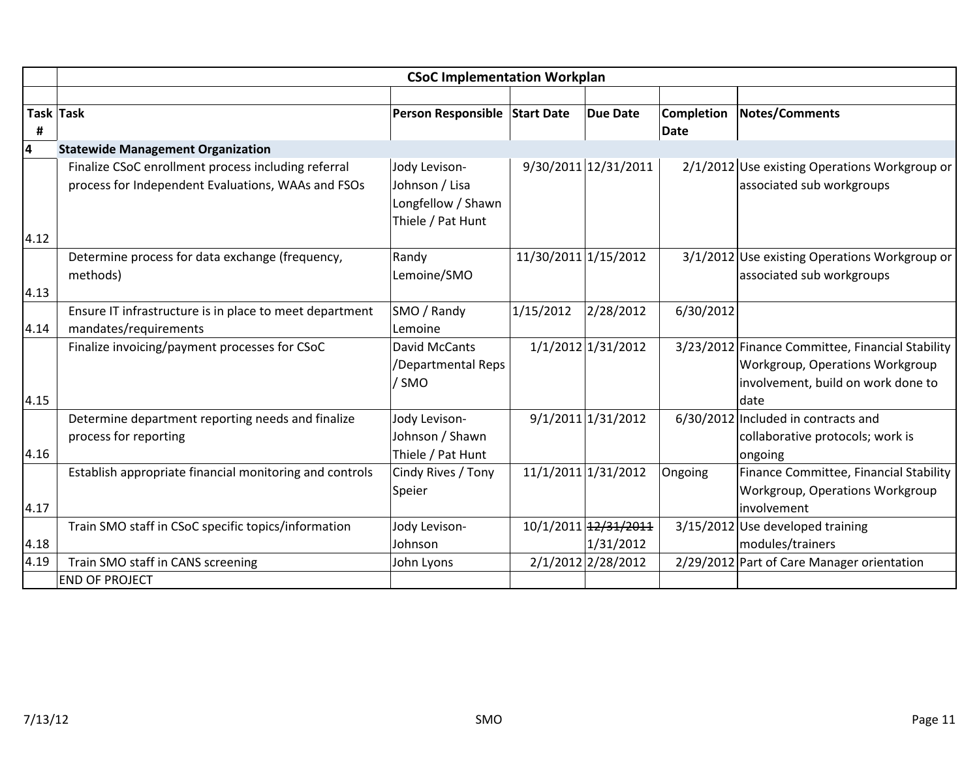|                |                                                                                                           | <b>CSoC Implementation Workplan</b>                                        |                      |                                   |                           |                                                                                                                                   |
|----------------|-----------------------------------------------------------------------------------------------------------|----------------------------------------------------------------------------|----------------------|-----------------------------------|---------------------------|-----------------------------------------------------------------------------------------------------------------------------------|
|                |                                                                                                           |                                                                            |                      |                                   |                           |                                                                                                                                   |
| Task Task<br># |                                                                                                           | Person Responsible Start Date                                              |                      | <b>Due Date</b>                   | <b>Completion</b><br>Date | Notes/Comments                                                                                                                    |
| 4              | <b>Statewide Management Organization</b>                                                                  |                                                                            |                      |                                   |                           |                                                                                                                                   |
|                | Finalize CSoC enrollment process including referral<br>process for Independent Evaluations, WAAs and FSOs | Jody Levison-<br>Johnson / Lisa<br>Longfellow / Shawn<br>Thiele / Pat Hunt |                      | 9/30/2011 12/31/2011              |                           | 2/1/2012 Use existing Operations Workgroup or<br>associated sub workgroups                                                        |
| 4.12           |                                                                                                           |                                                                            |                      |                                   |                           |                                                                                                                                   |
| 4.13           | Determine process for data exchange (frequency,<br>methods)                                               | Randy<br>Lemoine/SMO                                                       | 11/30/2011 1/15/2012 |                                   |                           | 3/1/2012 Use existing Operations Workgroup or<br>associated sub workgroups                                                        |
|                | Ensure IT infrastructure is in place to meet department                                                   | SMO / Randy                                                                | 1/15/2012            | 2/28/2012                         | 6/30/2012                 |                                                                                                                                   |
| 4.14           | mandates/requirements                                                                                     | Lemoine                                                                    |                      |                                   |                           |                                                                                                                                   |
| 4.15           | Finalize invoicing/payment processes for CSoC                                                             | David McCants<br>/Departmental Reps<br>/ SMO                               |                      | 1/1/2012 1/31/2012                |                           | 3/23/2012 Finance Committee, Financial Stability<br>Workgroup, Operations Workgroup<br>involvement, build on work done to<br>date |
| 4.16           | Determine department reporting needs and finalize<br>process for reporting                                | Jody Levison-<br>Johnson / Shawn<br>Thiele / Pat Hunt                      |                      | 9/1/2011 1/31/2012                |                           | 6/30/2012 Included in contracts and<br>collaborative protocols; work is<br>ongoing                                                |
| 4.17           | Establish appropriate financial monitoring and controls                                                   | Cindy Rives / Tony<br>Speier                                               |                      | 11/1/2011 1/31/2012               | Ongoing                   | Finance Committee, Financial Stability<br>Workgroup, Operations Workgroup<br>involvement                                          |
| 4.18           | Train SMO staff in CSoC specific topics/information                                                       | Jody Levison-<br>Johnson                                                   |                      | 10/1/2011 12/31/2011<br>1/31/2012 |                           | 3/15/2012 Use developed training<br>modules/trainers                                                                              |
| 4.19           | Train SMO staff in CANS screening                                                                         | John Lyons                                                                 |                      | 2/1/2012 2/28/2012                |                           | 2/29/2012 Part of Care Manager orientation                                                                                        |
|                | <b>END OF PROJECT</b>                                                                                     |                                                                            |                      |                                   |                           |                                                                                                                                   |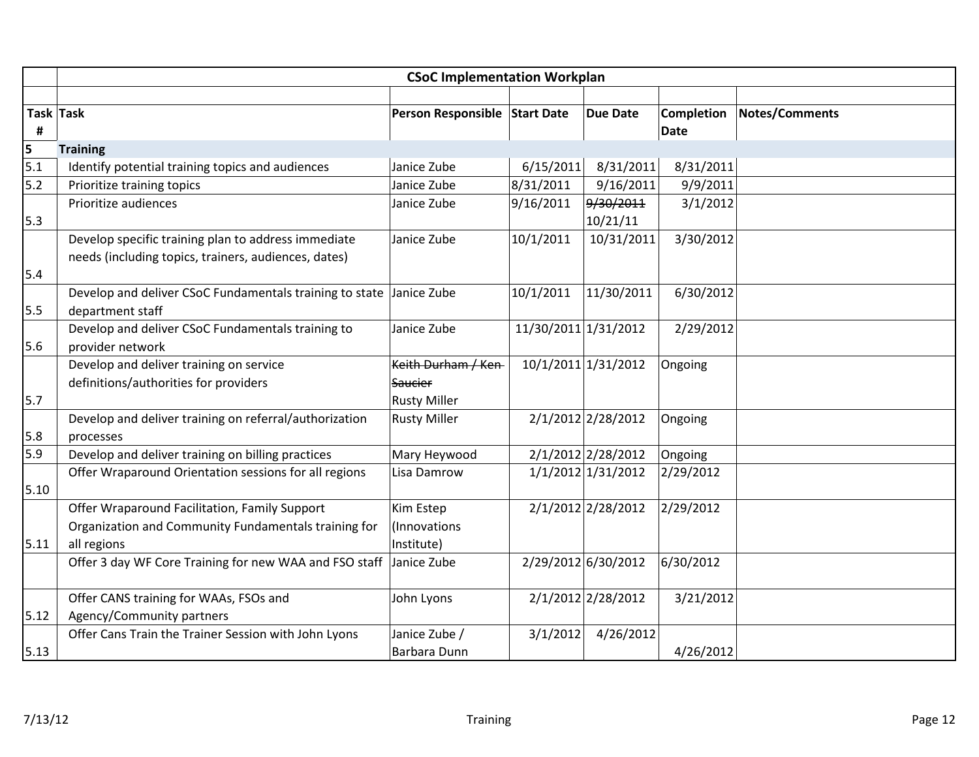|      | <b>CSoC Implementation Workplan</b>                     |                               |                      |                     |                   |                |  |  |
|------|---------------------------------------------------------|-------------------------------|----------------------|---------------------|-------------------|----------------|--|--|
|      |                                                         |                               |                      |                     |                   |                |  |  |
|      | Task Task                                               | Person Responsible Start Date |                      | <b>Due Date</b>     | <b>Completion</b> | Notes/Comments |  |  |
| #    |                                                         |                               |                      |                     | Date              |                |  |  |
| 5    | <b>Training</b>                                         |                               |                      |                     |                   |                |  |  |
| 5.1  | Identify potential training topics and audiences        | Janice Zube                   | 6/15/2011            | 8/31/2011           | 8/31/2011         |                |  |  |
| 5.2  | Prioritize training topics                              | Janice Zube                   | 8/31/2011            | 9/16/2011           | 9/9/2011          |                |  |  |
|      | Prioritize audiences                                    | Janice Zube                   | 9/16/2011            | 9/30/2011           | 3/1/2012          |                |  |  |
| 5.3  |                                                         |                               |                      | 10/21/11            |                   |                |  |  |
|      | Develop specific training plan to address immediate     | Janice Zube                   | 10/1/2011            | 10/31/2011          | 3/30/2012         |                |  |  |
|      | needs (including topics, trainers, audiences, dates)    |                               |                      |                     |                   |                |  |  |
| 5.4  |                                                         |                               |                      |                     |                   |                |  |  |
|      | Develop and deliver CSoC Fundamentals training to state | Janice Zube                   | 10/1/2011            | 11/30/2011          | 6/30/2012         |                |  |  |
| 5.5  | department staff                                        |                               |                      |                     |                   |                |  |  |
|      | Develop and deliver CSoC Fundamentals training to       | Janice Zube                   | 11/30/2011 1/31/2012 |                     | 2/29/2012         |                |  |  |
| 5.6  | provider network                                        |                               |                      |                     |                   |                |  |  |
|      | Develop and deliver training on service                 | Keith Durham / Ken-           |                      | 10/1/2011 1/31/2012 | Ongoing           |                |  |  |
|      | definitions/authorities for providers                   | <b>Saucier</b>                |                      |                     |                   |                |  |  |
| 5.7  |                                                         | <b>Rusty Miller</b>           |                      |                     |                   |                |  |  |
|      | Develop and deliver training on referral/authorization  | <b>Rusty Miller</b>           |                      | 2/1/2012 2/28/2012  | Ongoing           |                |  |  |
| 5.8  | processes                                               |                               |                      |                     |                   |                |  |  |
| 5.9  | Develop and deliver training on billing practices       | Mary Heywood                  |                      | 2/1/2012 2/28/2012  | Ongoing           |                |  |  |
|      | Offer Wraparound Orientation sessions for all regions   | Lisa Damrow                   |                      | 1/1/2012 1/31/2012  | 2/29/2012         |                |  |  |
| 5.10 |                                                         |                               |                      |                     |                   |                |  |  |
|      | Offer Wraparound Facilitation, Family Support           | Kim Estep                     |                      | 2/1/2012 2/28/2012  | 2/29/2012         |                |  |  |
|      | Organization and Community Fundamentals training for    | (Innovations                  |                      |                     |                   |                |  |  |
| 5.11 | all regions                                             | Institute)                    |                      |                     |                   |                |  |  |
|      | Offer 3 day WF Core Training for new WAA and FSO staff  | Janice Zube                   |                      | 2/29/2012 6/30/2012 | 6/30/2012         |                |  |  |
|      |                                                         |                               |                      |                     |                   |                |  |  |
|      | Offer CANS training for WAAs, FSOs and                  | John Lyons                    |                      | 2/1/2012 2/28/2012  | 3/21/2012         |                |  |  |
| 5.12 | Agency/Community partners                               |                               |                      |                     |                   |                |  |  |
|      | Offer Cans Train the Trainer Session with John Lyons    | Janice Zube /                 | 3/1/2012             | 4/26/2012           |                   |                |  |  |
| 5.13 |                                                         | Barbara Dunn                  |                      |                     | 4/26/2012         |                |  |  |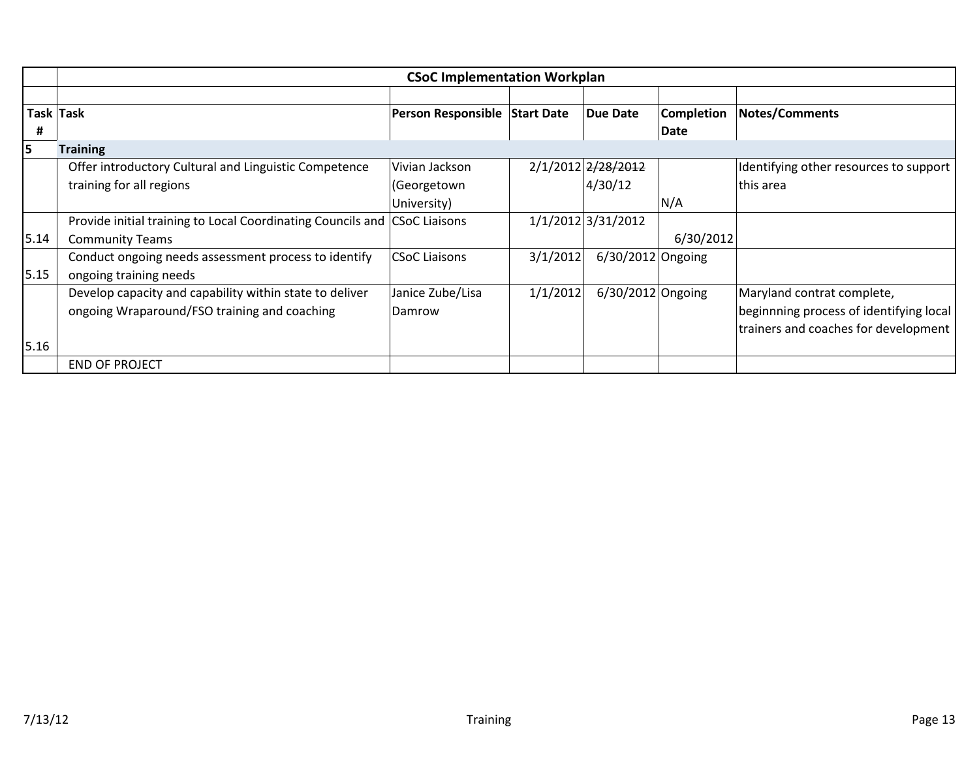|      | <b>CSoC Implementation Workplan</b>                                       |                               |          |                     |                   |                                         |  |  |
|------|---------------------------------------------------------------------------|-------------------------------|----------|---------------------|-------------------|-----------------------------------------|--|--|
|      |                                                                           |                               |          |                     |                   |                                         |  |  |
|      | Task Task                                                                 | Person Responsible Start Date |          | <b>Due Date</b>     | <b>Completion</b> | <b>Notes/Comments</b>                   |  |  |
| #    |                                                                           |                               |          |                     | Date              |                                         |  |  |
| 5    | <b>Training</b>                                                           |                               |          |                     |                   |                                         |  |  |
|      | Offer introductory Cultural and Linguistic Competence                     | Vivian Jackson                |          | 2/1/2012 2/28/2012  |                   | Identifying other resources to support  |  |  |
|      | training for all regions                                                  | (Georgetown                   |          | 4/30/12             |                   | this area                               |  |  |
|      |                                                                           | University)                   |          |                     | N/A               |                                         |  |  |
|      | Provide initial training to Local Coordinating Councils and CSoC Liaisons |                               |          | 1/1/2012 3/31/2012  |                   |                                         |  |  |
| 5.14 | <b>Community Teams</b>                                                    |                               |          |                     | 6/30/2012         |                                         |  |  |
|      | Conduct ongoing needs assessment process to identify                      | <b>CSoC Liaisons</b>          | 3/1/2012 | $6/30/2012$ Ongoing |                   |                                         |  |  |
| 5.15 | ongoing training needs                                                    |                               |          |                     |                   |                                         |  |  |
|      | Develop capacity and capability within state to deliver                   | Janice Zube/Lisa              | 1/1/2012 | 6/30/2012 Ongoing   |                   | Maryland contrat complete,              |  |  |
|      | ongoing Wraparound/FSO training and coaching                              | Damrow                        |          |                     |                   | beginnning process of identifying local |  |  |
|      |                                                                           |                               |          |                     |                   | trainers and coaches for development    |  |  |
| 5.16 |                                                                           |                               |          |                     |                   |                                         |  |  |
|      | <b>END OF PROJECT</b>                                                     |                               |          |                     |                   |                                         |  |  |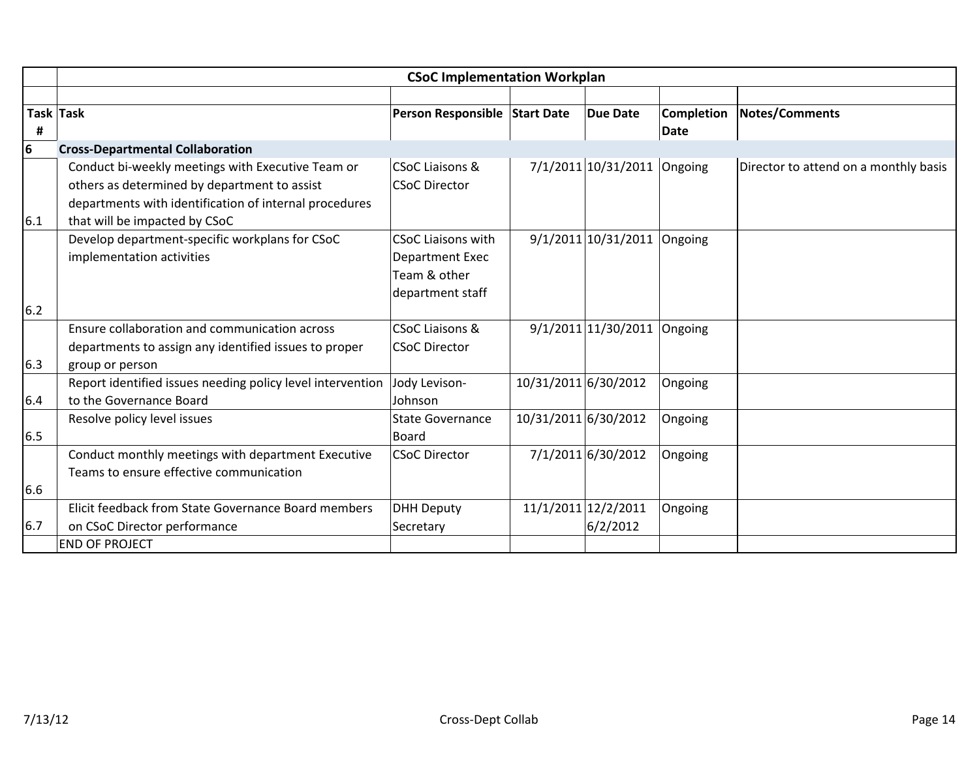|      | <b>CSoC Implementation Workplan</b>                        |                               |                      |                               |             |                                       |  |  |
|------|------------------------------------------------------------|-------------------------------|----------------------|-------------------------------|-------------|---------------------------------------|--|--|
|      |                                                            |                               |                      |                               |             |                                       |  |  |
|      | Task Task                                                  | Person Responsible Start Date |                      | <b>Due Date</b>               | Completion  | Notes/Comments                        |  |  |
| #    |                                                            |                               |                      |                               | <b>Date</b> |                                       |  |  |
| 6    | <b>Cross-Departmental Collaboration</b>                    |                               |                      |                               |             |                                       |  |  |
|      | Conduct bi-weekly meetings with Executive Team or          | <b>CSoC Liaisons &amp;</b>    |                      | 7/1/2011 10/31/2011 Ongoing   |             | Director to attend on a monthly basis |  |  |
|      | others as determined by department to assist               | <b>CSoC Director</b>          |                      |                               |             |                                       |  |  |
|      | departments with identification of internal procedures     |                               |                      |                               |             |                                       |  |  |
| 6.1  | that will be impacted by CSoC                              |                               |                      |                               |             |                                       |  |  |
|      | Develop department-specific workplans for CSoC             | <b>CSoC Liaisons with</b>     |                      | $9/1/2011$ 10/31/2011 Ongoing |             |                                       |  |  |
|      | implementation activities                                  | <b>Department Exec</b>        |                      |                               |             |                                       |  |  |
|      |                                                            | Team & other                  |                      |                               |             |                                       |  |  |
|      |                                                            | department staff              |                      |                               |             |                                       |  |  |
| 6.2  |                                                            |                               |                      |                               |             |                                       |  |  |
|      | Ensure collaboration and communication across              | <b>CSoC Liaisons &amp;</b>    |                      | $9/1/2011$ 1/30/2011 Ongoing  |             |                                       |  |  |
|      | departments to assign any identified issues to proper      | <b>CSoC Director</b>          |                      |                               |             |                                       |  |  |
| 6.3  | group or person                                            |                               |                      |                               |             |                                       |  |  |
|      | Report identified issues needing policy level intervention | Jody Levison-                 | 10/31/2011 6/30/2012 |                               | Ongoing     |                                       |  |  |
| 6.4  | to the Governance Board                                    | Johnson                       |                      |                               |             |                                       |  |  |
|      | Resolve policy level issues                                | <b>State Governance</b>       | 10/31/2011 6/30/2012 |                               | Ongoing     |                                       |  |  |
| 6.5  |                                                            | <b>Board</b>                  |                      |                               |             |                                       |  |  |
|      | Conduct monthly meetings with department Executive         | <b>CSoC Director</b>          |                      | 7/1/2011 6/30/2012            | Ongoing     |                                       |  |  |
|      | Teams to ensure effective communication                    |                               |                      |                               |             |                                       |  |  |
| 6.6  |                                                            |                               |                      |                               |             |                                       |  |  |
|      | Elicit feedback from State Governance Board members        | <b>DHH Deputy</b>             |                      | 11/1/2011 12/2/2011           | Ongoing     |                                       |  |  |
| 16.7 | on CSoC Director performance                               | Secretary                     |                      | 6/2/2012                      |             |                                       |  |  |
|      | <b>END OF PROJECT</b>                                      |                               |                      |                               |             |                                       |  |  |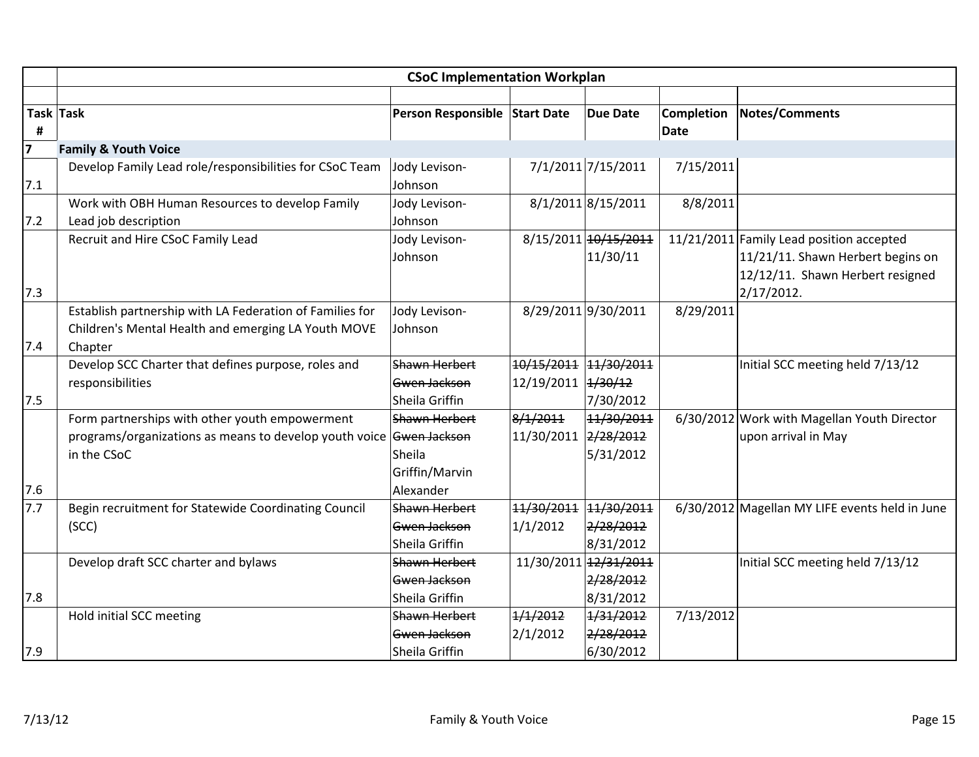|                | <b>CSoC Implementation Workplan</b>                                 |                               |                       |                       |                   |                                                |  |  |  |
|----------------|---------------------------------------------------------------------|-------------------------------|-----------------------|-----------------------|-------------------|------------------------------------------------|--|--|--|
|                |                                                                     |                               |                       |                       |                   |                                                |  |  |  |
|                | Task Task                                                           | Person Responsible Start Date |                       | <b>Due Date</b>       | <b>Completion</b> | <b>Notes/Comments</b>                          |  |  |  |
| Ħ,             |                                                                     |                               |                       |                       | <b>Date</b>       |                                                |  |  |  |
| $\overline{7}$ | <b>Family &amp; Youth Voice</b>                                     |                               |                       |                       |                   |                                                |  |  |  |
|                | Develop Family Lead role/responsibilities for CSoC Team             | Jody Levison-                 |                       | 7/1/2011 7/15/2011    | 7/15/2011         |                                                |  |  |  |
| 7.1            |                                                                     | Johnson                       |                       |                       |                   |                                                |  |  |  |
|                | Work with OBH Human Resources to develop Family                     | Jody Levison-                 |                       | 8/1/2011 8/15/2011    | 8/8/2011          |                                                |  |  |  |
| 7.2            | Lead job description                                                | Johnson                       |                       |                       |                   |                                                |  |  |  |
|                | Recruit and Hire CSoC Family Lead                                   | Jody Levison-                 |                       | 8/15/2011 10/15/2011  |                   | 11/21/2011 Family Lead position accepted       |  |  |  |
|                |                                                                     | Johnson                       |                       | 11/30/11              |                   | 11/21/11. Shawn Herbert begins on              |  |  |  |
|                |                                                                     |                               |                       |                       |                   | 12/12/11. Shawn Herbert resigned               |  |  |  |
| 7.3            |                                                                     |                               |                       |                       |                   | $2/17/2012$ .                                  |  |  |  |
|                | Establish partnership with LA Federation of Families for            | Jody Levison-                 |                       | 8/29/2011 9/30/2011   | 8/29/2011         |                                                |  |  |  |
|                | Children's Mental Health and emerging LA Youth MOVE                 | Johnson                       |                       |                       |                   |                                                |  |  |  |
| 7.4            | Chapter                                                             |                               |                       |                       |                   |                                                |  |  |  |
|                | Develop SCC Charter that defines purpose, roles and                 | <b>Shawn Herbert</b>          | 10/15/2011 11/30/2011 |                       |                   | Initial SCC meeting held 7/13/12               |  |  |  |
|                | responsibilities                                                    | Gwen Jackson                  | 12/19/2011 4/30/12    |                       |                   |                                                |  |  |  |
| 7.5            |                                                                     | Sheila Griffin                |                       | 7/30/2012             |                   |                                                |  |  |  |
|                | Form partnerships with other youth empowerment                      | Shawn Herbert                 | 8/1/2011              | 11/30/2011            |                   | 6/30/2012 Work with Magellan Youth Director    |  |  |  |
|                | programs/organizations as means to develop youth voice Gwen Jackson |                               | 11/30/2011 2/28/2012  |                       |                   | upon arrival in May                            |  |  |  |
|                | in the CSoC                                                         | Sheila                        |                       | 5/31/2012             |                   |                                                |  |  |  |
|                |                                                                     | Griffin/Marvin                |                       |                       |                   |                                                |  |  |  |
| 7.6            |                                                                     | Alexander                     |                       |                       |                   |                                                |  |  |  |
| 7.7            | Begin recruitment for Statewide Coordinating Council                | Shawn Herbert                 | 11/30/2011            | 11/30/2011            |                   | 6/30/2012 Magellan MY LIFE events held in June |  |  |  |
|                | (SCC)                                                               | Gwen Jackson                  | 1/1/2012              | 2/28/2012             |                   |                                                |  |  |  |
|                |                                                                     | Sheila Griffin                |                       | 8/31/2012             |                   |                                                |  |  |  |
|                | Develop draft SCC charter and bylaws                                | Shawn Herbert                 |                       | 11/30/2011 12/31/2011 |                   | Initial SCC meeting held 7/13/12               |  |  |  |
|                |                                                                     | Gwen Jackson                  |                       | 2/28/2012             |                   |                                                |  |  |  |
| 7.8            |                                                                     | Sheila Griffin                |                       | 8/31/2012             |                   |                                                |  |  |  |
|                | Hold initial SCC meeting                                            | Shawn Herbert                 | 1/1/2012              | 1/31/2012             | 7/13/2012         |                                                |  |  |  |
|                |                                                                     | Gwen Jackson                  | 2/1/2012              | 2/28/2012             |                   |                                                |  |  |  |
| 7.9            |                                                                     | Sheila Griffin                |                       | 6/30/2012             |                   |                                                |  |  |  |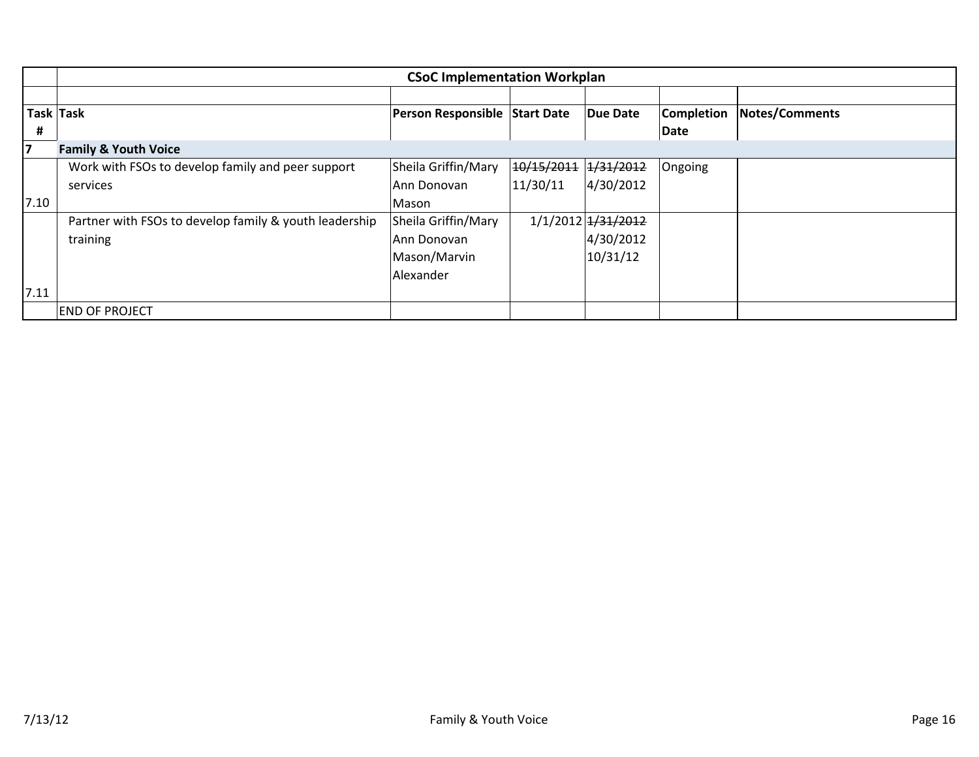|      | <b>CSoC Implementation Workplan</b>                    |                               |            |                    |                   |                |  |  |
|------|--------------------------------------------------------|-------------------------------|------------|--------------------|-------------------|----------------|--|--|
|      |                                                        |                               |            |                    |                   |                |  |  |
|      | Task Task                                              | Person Responsible Start Date |            | Due Date           | <b>Completion</b> | Notes/Comments |  |  |
| #    |                                                        |                               |            |                    | Date              |                |  |  |
| 7    | <b>Family &amp; Youth Voice</b>                        |                               |            |                    |                   |                |  |  |
|      | Work with FSOs to develop family and peer support      | Sheila Griffin/Mary           | 10/15/2011 | 1/31/2012          | Ongoing           |                |  |  |
|      | services                                               | Ann Donovan                   | 11/30/11   | 4/30/2012          |                   |                |  |  |
| 7.10 |                                                        | Mason                         |            |                    |                   |                |  |  |
|      | Partner with FSOs to develop family & youth leadership | Sheila Griffin/Mary           |            | 1/1/2012 1/31/2012 |                   |                |  |  |
|      | training                                               | Ann Donovan                   |            | 4/30/2012          |                   |                |  |  |
|      |                                                        | Mason/Marvin                  |            | 10/31/12           |                   |                |  |  |
|      |                                                        | Alexander                     |            |                    |                   |                |  |  |
| 7.11 |                                                        |                               |            |                    |                   |                |  |  |
|      | <b>END OF PROJECT</b>                                  |                               |            |                    |                   |                |  |  |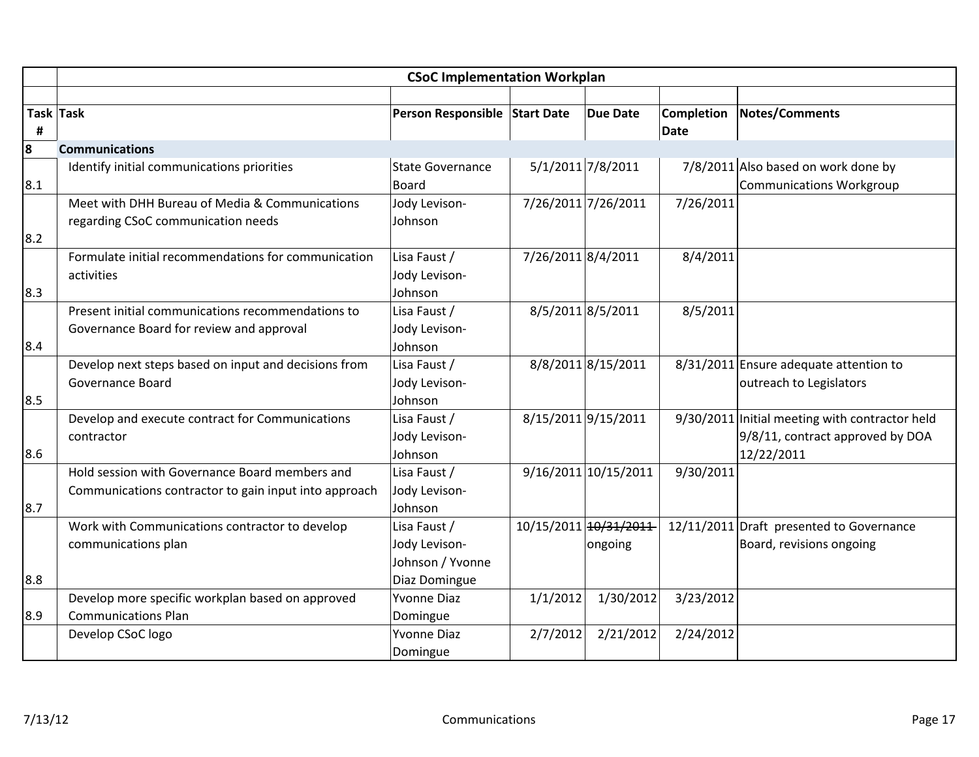|     | <b>CSoC Implementation Workplan</b>                   |                               |                    |                       |                   |                                                |  |  |
|-----|-------------------------------------------------------|-------------------------------|--------------------|-----------------------|-------------------|------------------------------------------------|--|--|
|     |                                                       |                               |                    |                       |                   |                                                |  |  |
|     | Task Task                                             | Person Responsible Start Date |                    | <b>Due Date</b>       | <b>Completion</b> | <b>Notes/Comments</b>                          |  |  |
| #   |                                                       |                               |                    |                       | <b>Date</b>       |                                                |  |  |
| 8   | <b>Communications</b>                                 |                               |                    |                       |                   |                                                |  |  |
|     | Identify initial communications priorities            | <b>State Governance</b>       |                    | 5/1/2011 7/8/2011     |                   | 7/8/2011 Also based on work done by            |  |  |
| 8.1 |                                                       | <b>Board</b>                  |                    |                       |                   | <b>Communications Workgroup</b>                |  |  |
|     | Meet with DHH Bureau of Media & Communications        | Jody Levison-                 |                    | 7/26/2011 7/26/2011   | 7/26/2011         |                                                |  |  |
|     | regarding CSoC communication needs                    | Johnson                       |                    |                       |                   |                                                |  |  |
| 8.2 |                                                       |                               |                    |                       |                   |                                                |  |  |
|     | Formulate initial recommendations for communication   | Lisa Faust /                  | 7/26/2011 8/4/2011 |                       | 8/4/2011          |                                                |  |  |
|     | activities                                            | Jody Levison-                 |                    |                       |                   |                                                |  |  |
| 8.3 |                                                       | Johnson                       |                    |                       |                   |                                                |  |  |
|     | Present initial communications recommendations to     | Lisa Faust /                  |                    | 8/5/2011 8/5/2011     | 8/5/2011          |                                                |  |  |
|     | Governance Board for review and approval              | Jody Levison-                 |                    |                       |                   |                                                |  |  |
| 8.4 |                                                       | Johnson                       |                    |                       |                   |                                                |  |  |
|     | Develop next steps based on input and decisions from  | Lisa Faust /                  |                    | 8/8/2011 8/15/2011    |                   | 8/31/2011 Ensure adequate attention to         |  |  |
|     | Governance Board                                      | Jody Levison-                 |                    |                       |                   | outreach to Legislators                        |  |  |
| 8.5 |                                                       | Johnson                       |                    |                       |                   |                                                |  |  |
|     | Develop and execute contract for Communications       | Lisa Faust /                  |                    | 8/15/2011 9/15/2011   |                   | 9/30/2011 Initial meeting with contractor held |  |  |
|     | contractor                                            | Jody Levison-                 |                    |                       |                   | 9/8/11, contract approved by DOA               |  |  |
| 8.6 |                                                       | Johnson                       |                    |                       |                   | 12/22/2011                                     |  |  |
|     | Hold session with Governance Board members and        | Lisa Faust /                  |                    | 9/16/2011 10/15/2011  | 9/30/2011         |                                                |  |  |
|     | Communications contractor to gain input into approach | Jody Levison-                 |                    |                       |                   |                                                |  |  |
| 8.7 |                                                       | Johnson                       |                    |                       |                   |                                                |  |  |
|     | Work with Communications contractor to develop        | Lisa Faust /                  |                    | 10/15/2011 10/31/2011 |                   | 12/11/2011 Draft presented to Governance       |  |  |
|     | communications plan                                   | Jody Levison-                 |                    | ongoing               |                   | Board, revisions ongoing                       |  |  |
|     |                                                       | Johnson / Yvonne              |                    |                       |                   |                                                |  |  |
| 8.8 |                                                       | Diaz Domingue                 |                    |                       |                   |                                                |  |  |
|     | Develop more specific workplan based on approved      | <b>Yvonne Diaz</b>            | 1/1/2012           | 1/30/2012             | 3/23/2012         |                                                |  |  |
| 8.9 | <b>Communications Plan</b>                            | Domingue                      |                    |                       |                   |                                                |  |  |
|     | Develop CSoC logo                                     | <b>Yvonne Diaz</b>            | 2/7/2012           | 2/21/2012             | 2/24/2012         |                                                |  |  |
|     |                                                       | Domingue                      |                    |                       |                   |                                                |  |  |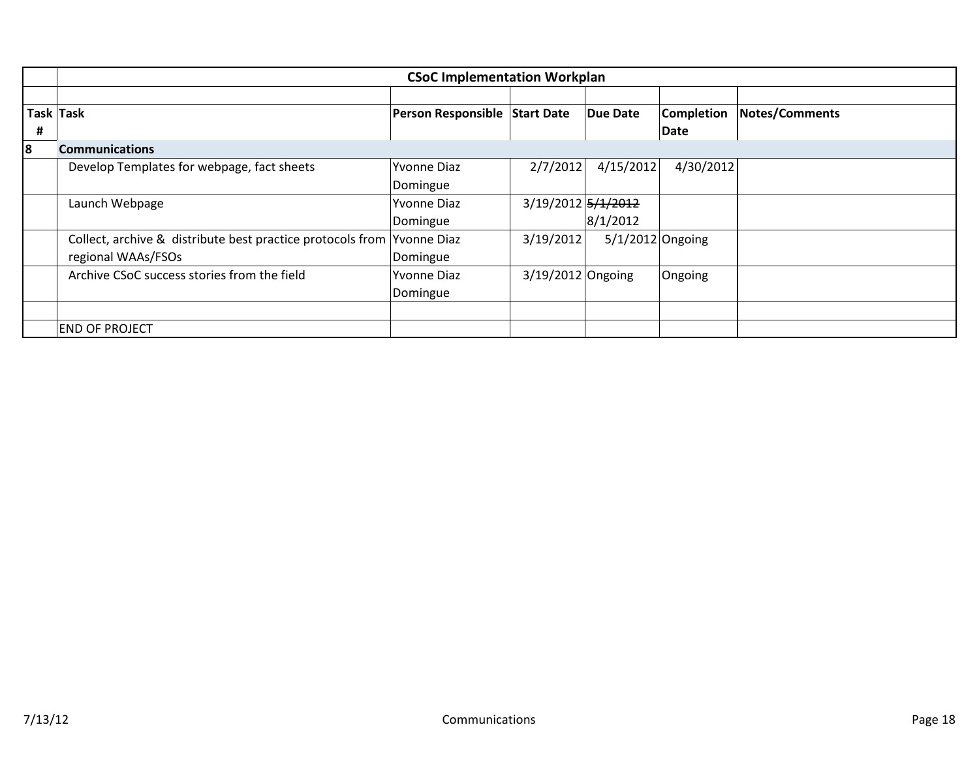|   | <b>CSoC Implementation Workplan</b>                                    |                               |                    |                    |                   |                       |  |  |  |
|---|------------------------------------------------------------------------|-------------------------------|--------------------|--------------------|-------------------|-----------------------|--|--|--|
|   |                                                                        |                               |                    |                    |                   |                       |  |  |  |
|   | Task Task                                                              | Person Responsible Start Date |                    | Due Date           | <b>Completion</b> | <b>Notes/Comments</b> |  |  |  |
| # |                                                                        |                               |                    |                    | Date              |                       |  |  |  |
| 8 | <b>Communications</b>                                                  |                               |                    |                    |                   |                       |  |  |  |
|   | Develop Templates for webpage, fact sheets                             | Yvonne Diaz                   | 2/7/2012           | 4/15/2012          | 4/30/2012         |                       |  |  |  |
|   |                                                                        | Domingue                      |                    |                    |                   |                       |  |  |  |
|   | Launch Webpage                                                         | <b>Yvonne Diaz</b>            | 3/19/2012 5/1/2012 |                    |                   |                       |  |  |  |
|   |                                                                        | Domingue                      |                    | 8/1/2012           |                   |                       |  |  |  |
|   | Collect, archive & distribute best practice protocols from Yvonne Diaz |                               | 3/19/2012          | $5/1/2012$ Ongoing |                   |                       |  |  |  |
|   | regional WAAs/FSOs                                                     | Domingue                      |                    |                    |                   |                       |  |  |  |
|   | Archive CSoC success stories from the field                            | <b>Yvonne Diaz</b>            | 3/19/2012 Ongoing  |                    | Ongoing           |                       |  |  |  |
|   |                                                                        | Domingue                      |                    |                    |                   |                       |  |  |  |
|   |                                                                        |                               |                    |                    |                   |                       |  |  |  |
|   | <b>END OF PROJECT</b>                                                  |                               |                    |                    |                   |                       |  |  |  |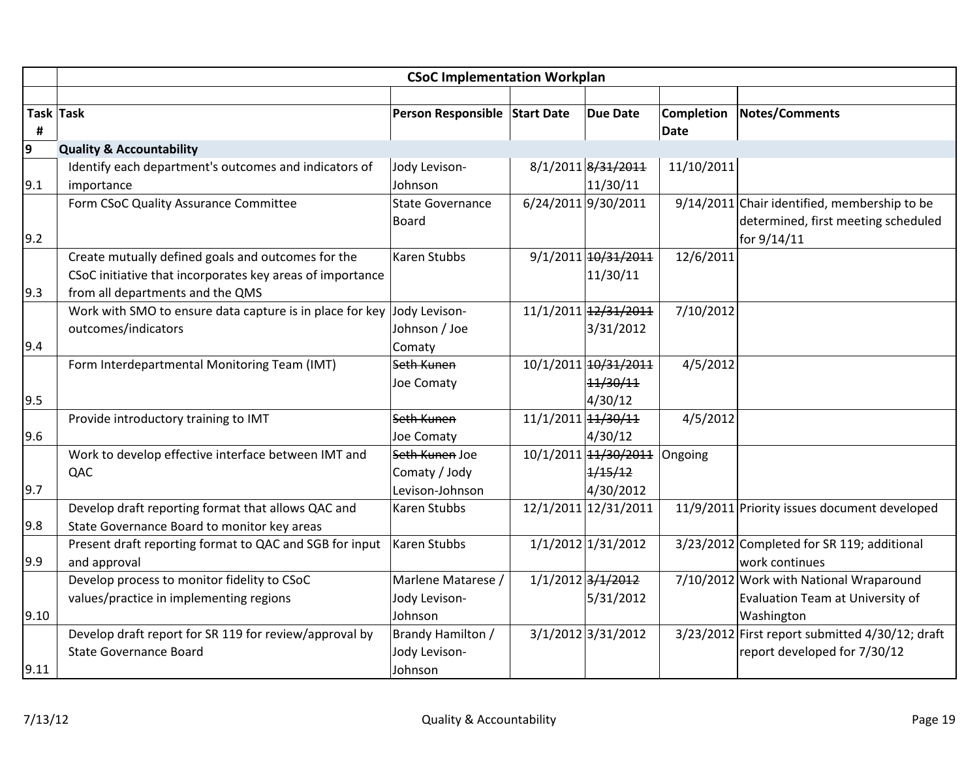|      | <b>CSoC Implementation Workplan</b>                       |                               |                    |                      |                   |                                                 |  |  |  |
|------|-----------------------------------------------------------|-------------------------------|--------------------|----------------------|-------------------|-------------------------------------------------|--|--|--|
|      |                                                           |                               |                    |                      |                   |                                                 |  |  |  |
|      | Task Task                                                 | Person Responsible Start Date |                    | <b>Due Date</b>      | <b>Completion</b> | Notes/Comments                                  |  |  |  |
| #    |                                                           |                               |                    |                      | Date              |                                                 |  |  |  |
| 9    | <b>Quality &amp; Accountability</b>                       |                               |                    |                      |                   |                                                 |  |  |  |
|      | Identify each department's outcomes and indicators of     | Jody Levison-                 |                    | 8/1/2011 8/31/2011   | 11/10/2011        |                                                 |  |  |  |
| 9.1  | importance                                                | Johnson                       |                    | 11/30/11             |                   |                                                 |  |  |  |
|      | Form CSoC Quality Assurance Committee                     | <b>State Governance</b>       |                    | 6/24/2011 9/30/2011  |                   | 9/14/2011 Chair identified, membership to be    |  |  |  |
|      |                                                           | <b>Board</b>                  |                    |                      |                   | determined, first meeting scheduled             |  |  |  |
| 9.2  |                                                           |                               |                    |                      |                   | for 9/14/11                                     |  |  |  |
|      | Create mutually defined goals and outcomes for the        | <b>Karen Stubbs</b>           |                    | 9/1/2011 10/31/2011  | 12/6/2011         |                                                 |  |  |  |
|      | CSoC initiative that incorporates key areas of importance |                               |                    | 11/30/11             |                   |                                                 |  |  |  |
| 9.3  | from all departments and the QMS                          |                               |                    |                      |                   |                                                 |  |  |  |
|      | Work with SMO to ensure data capture is in place for key  | Jody Levison-                 |                    | 11/1/2011 12/31/2011 | 7/10/2012         |                                                 |  |  |  |
|      | outcomes/indicators                                       | Johnson / Joe                 |                    | 3/31/2012            |                   |                                                 |  |  |  |
| 9.4  |                                                           | Comaty                        |                    |                      |                   |                                                 |  |  |  |
|      | Form Interdepartmental Monitoring Team (IMT)              | Seth Kunen                    |                    | 10/1/2011 10/31/2011 | 4/5/2012          |                                                 |  |  |  |
|      |                                                           | Joe Comaty                    |                    | 11/30/11             |                   |                                                 |  |  |  |
| 9.5  |                                                           |                               |                    | 4/30/12              |                   |                                                 |  |  |  |
|      | Provide introductory training to IMT                      | Seth Kunen                    | 11/1/2011 11/30/11 |                      | 4/5/2012          |                                                 |  |  |  |
| 9.6  |                                                           | Joe Comaty                    |                    | 4/30/12              |                   |                                                 |  |  |  |
|      | Work to develop effective interface between IMT and       | Seth Kunen Joe                |                    | 10/1/2011 14/30/2011 | Ongoing           |                                                 |  |  |  |
|      | QAC                                                       | Comaty / Jody                 |                    | 1/15/12              |                   |                                                 |  |  |  |
| 9.7  |                                                           | Levison-Johnson               |                    | 4/30/2012            |                   |                                                 |  |  |  |
|      | Develop draft reporting format that allows QAC and        | Karen Stubbs                  |                    | 12/1/2011 12/31/2011 |                   | 11/9/2011 Priority issues document developed    |  |  |  |
| 9.8  | State Governance Board to monitor key areas               |                               |                    |                      |                   |                                                 |  |  |  |
|      | Present draft reporting format to QAC and SGB for input   | Karen Stubbs                  |                    | 1/1/2012 1/31/2012   |                   | 3/23/2012 Completed for SR 119; additional      |  |  |  |
| 9.9  | and approval                                              |                               |                    |                      |                   | work continues                                  |  |  |  |
|      | Develop process to monitor fidelity to CSoC               | Marlene Matarese /            |                    | 1/1/2012 3/1/2012    |                   | 7/10/2012 Work with National Wraparound         |  |  |  |
|      | values/practice in implementing regions                   | Jody Levison-                 |                    | 5/31/2012            |                   | Evaluation Team at University of                |  |  |  |
| 9.10 |                                                           | Johnson                       |                    |                      |                   | Washington                                      |  |  |  |
|      | Develop draft report for SR 119 for review/approval by    | Brandy Hamilton /             |                    | 3/1/2012 3/31/2012   |                   | 3/23/2012 First report submitted 4/30/12; draft |  |  |  |
|      | <b>State Governance Board</b>                             | Jody Levison-                 |                    |                      |                   | report developed for 7/30/12                    |  |  |  |
| 9.11 |                                                           | Johnson                       |                    |                      |                   |                                                 |  |  |  |